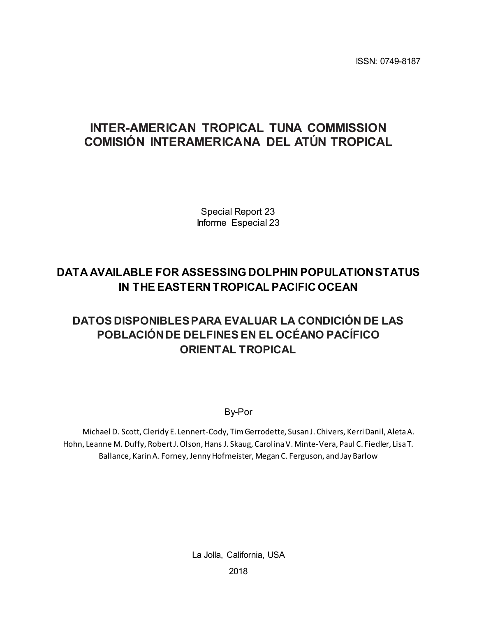ISSN: 0749-8187

# **INTER-AMERICAN TROPICAL TUNA COMMISSION COMISIÓN INTERAMERICANA DEL ATÚN TROPICAL**

Special Report 23 Informe Especial 23

# **DATA AVAILABLE FOR ASSESSING DOLPHIN POPULATION STATUS IN THE EASTERN TROPICAL PACIFIC OCEAN**

# **DATOS DISPONIBLES PARA EVALUAR LA CONDICIÓN DE LAS POBLACIÓN DE DELFINES EN EL OCÉANO PACÍFICO ORIENTAL TROPICAL**

By-Por

Michael D. Scott, Cleridy E. Lennert-Cody, Tim Gerrodette, Susan J. Chivers, Kerri Danil, Aleta A. Hohn, Leanne M. Duffy, Robert J. Olson, Hans J. Skaug, Carolina V. Minte-Vera, Paul C. Fiedler, Lisa T. Ballance, Karin A. Forney, Jenny Hofmeister, Megan C. Ferguson, and Jay Barlow

La Jolla, California, USA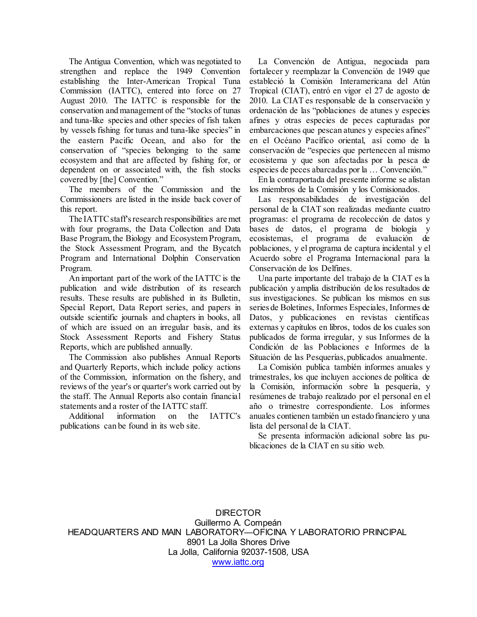The Antigua Convention, which was negotiated to strengthen and replace the 1949 Convention establishing the Inter-American Tropical Tuna Commission (IATTC), entered into force on 27 August 2010. The IATTC is responsible for the conservation and management of the "stocks of tunas and tuna-like species and other species of fish taken by vessels fishing for tunas and tuna-like species" in the eastern Pacific Ocean, and also for the conservation of "species belonging to the same ecosystem and that are affected by fishing for, or dependent on or associated with, the fish stocks covered by [the] Convention."

 The members of the Commission and the Commissioners are listed in the inside back cover of this report.

 The IATTC staff's research responsibilities are met with four programs, the Data Collection and Data Base Program, the Biology and Ecosystem Program, the Stock Assessment Program, and the Bycatch Program and International Dolphin Conservation Program.

 An important part of the work of the IATTC is the publication and wide distribution of its research results. These results are published in its Bulletin, Special Report, Data Report series, and papers in outside scientific journals and chapters in books, all of which are issued on an irregular basis, and its Stock Assessment Reports and Fishery Status Reports, which are published annually.

 The Commission also publishes Annual Reports and Quarterly Reports, which include policy actions of the Commission, information on the fishery, and reviews of the year's or quarter's work carried out by the staff. The Annual Reports also contain financial statements and a roster of the IATTC staff.

 Additional information on the IATTC's publications can be found in its web site.

 La Convención de Antigua, negociada para fortalecer y reemplazar la Convención de 1949 que estableció la Comisión Interamericana del Atún Tropical (CIAT), entró en vigor el 27 de agosto de 2010. La CIAT es responsable de la conservación y ordenación de las "poblaciones de atunes y especies afines y otras especies de peces capturadas por embarcaciones que pescan atunes y especies afines" en el Océano Pacífico oriental, así como de la conservación de "especies que pertenecen al mismo ecosistema y que son afectadas por la pesca de especies de peces abarcadas por la … Convención."

 En la contraportada del presente informe se alistan los miembros de la Comisión y los Comisionados.

Las responsabilidades de investigación personal de la CIAT son realizadas mediante cuatro programas: el programa de recolección de datos y bases de datos, el programa de biología y ecosistemas, el programa de evaluación de poblaciones, y el programa de captura incidental y el Acuerdo sobre el Programa Internacional para la Conservación de los Delfines.

 Una parte importante del trabajo de la CIAT es la publicación y amplia distribución de los resultados de sus investigaciones. Se publican los mismos en sus series de Boletines, Informes Especiales, Informes de Datos, y publicaciones en revistas científicas externas y capítulos en libros, todos de los cuales son publicados de forma irregular, y sus Informes de la Condición de las Poblaciones e Informes de la Situación de las Pesquerías, publicados anualmente.

 La Comisión publica también informes anuales y trimestrales, los que incluyen acciones de política de la Comisión, información sobre la pesquería, y resúmenes de trabajo realizado por el personal en el año o trimestre correspondiente. Los informes anuales contienen también un estado financiero y una lista del personal de la CIAT.

 Se presenta información adicional sobre las publicaciones de la CIAT en su sitio web.

DIRECTOR Guillermo A. Compeán HEADQUARTERS AND MAIN LABO[RATORY—OFI](http://www.iattc.org/)CINA Y LABORATORIO PRINCIPAL 8901 La Jolla Shores Drive La Jolla, California 92037-1508, USA www.iattc.org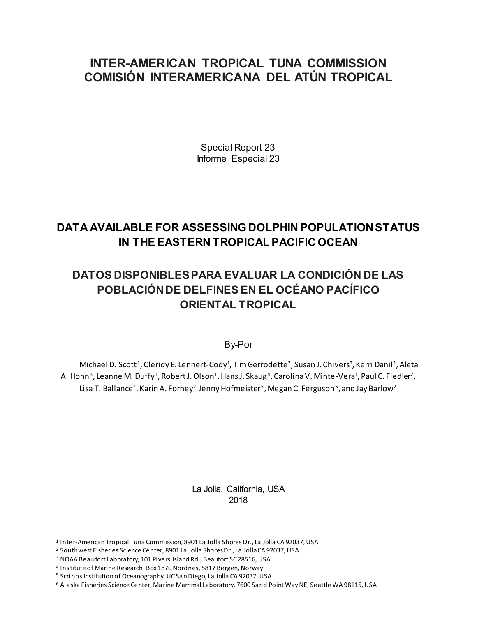## **INTER-AMERICAN TROPICAL TUNA COMMISSION COMISIÓN INTERAMERICANA DEL ATÚN TROPICAL**

Special Report 23 Informe Especial 23

## **DATA AVAILABLE FOR ASSESSING DOLPHIN POPULATION STATUS IN THE EASTERN TROPICAL PACIFIC OCEAN**

# **DATOS DISPONIBLES PARA EVALUAR LA CONDICIÓN DE LAS POBLACIÓN DE DELFINES EN EL OCÉANO PACÍFICO ORIENTAL TROPICAL**

By-Por

Michael D. Scott<sup>1</sup>, Cleridy E. Lennert-Cody<sup>1</sup>, Tim Gerrodette<sup>2</sup>, Susan J. Chivers<sup>2</sup>, Kerri Danil<sup>2</sup>, Aleta A. Hohn<sup>3</sup>, Leanne M. Duffy<sup>1</sup>, Robert J. Olson<sup>1</sup>, Hans J. Skaug<sup>4</sup>, Carolina V. Minte-Vera<sup>1</sup>, Paul C. Fiedler<sup>2</sup>, Lisa T. Ballance<sup>2</sup>, Karin A. Forney<sup>2,</sup> Jenny Hofmeister<sup>5</sup>, Megan C. Ferguson<sup>6</sup>, and Jay Barlow<sup>2</sup>

> La Jolla, California, USA 2018

 <sup>1</sup> Inter-American Tropical Tuna Commission, 8901 La Jolla Shores Dr., La Jolla CA 92037, USA

<sup>2</sup> Southwest Fisheries Science Center, 8901 La Jolla Shores Dr., La Jolla CA 92037, USA

<sup>3</sup> NOAA Beaufort Laboratory, 101 Pivers Island Rd., Beaufort SC 28516, USA

<sup>4</sup> Institute of Marine Research, Box 1870 Nordnes, 5817 Bergen, Norway

<sup>5</sup> Scripps Institution of Oceanography, UC San Diego, La Jolla CA 92037, USA

<sup>6</sup> Alaska Fisheries Science Center, Marine Mammal Laboratory, 7600 Sand Point Way NE, Seattle WA 98115, USA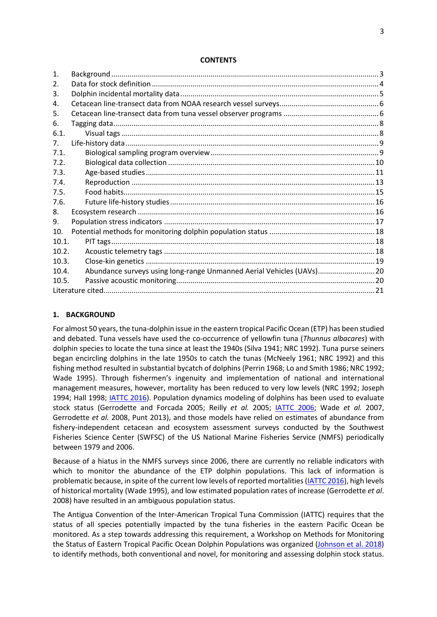#### **CONTENTS**

| 1.    |                                                                       |  |
|-------|-----------------------------------------------------------------------|--|
| 2.    |                                                                       |  |
| 3.    |                                                                       |  |
| 4.    |                                                                       |  |
| 5.    |                                                                       |  |
| 6.    |                                                                       |  |
| 6.1.  |                                                                       |  |
| 7.    |                                                                       |  |
| 7.1.  |                                                                       |  |
| 7.2.  |                                                                       |  |
| 7.3.  |                                                                       |  |
| 7.4.  |                                                                       |  |
| 7.5.  |                                                                       |  |
| 7.6.  |                                                                       |  |
| 8.    |                                                                       |  |
| 9.    |                                                                       |  |
| 10.   |                                                                       |  |
| 10.1. | PIT tags                                                              |  |
| 10.2. |                                                                       |  |
| 10.3. |                                                                       |  |
| 10.4. | Abundance surveys using long-range Unmanned Aerial Vehicles (UAVs) 20 |  |
| 10.5. |                                                                       |  |
|       |                                                                       |  |
|       |                                                                       |  |

### <span id="page-3-0"></span>**1. BACKGROUND**

For almost 50 years, the tuna-dolphin issue in the eastern tropical Pacific Ocean (ETP) has been studied and debated. Tuna vessels have used the co-occurrence of yellowfin tuna (*Thunnus albacares*) with dolphin species to locate the tuna since at least the 1940s (Silva 1941; NRC 1992). Tuna purse seiners began encircling dolphins in the late 1950s to catch the tunas (McNeely 1961; NRC 1992) and this fishing method resulted in substantial bycatch of dolphins (Perrin 1968; Lo and Smith 1986; NRC 1992; Wade 1995). Through fishermen's ingenuity and implementation of national and international management measures, however, mortality has been reduced to very low levels (NRC 1992; Joseph 1994; Hall 1998; [IATTC](http://www.iattc.org/Meetings/Meetings2016/Oct/Pdfs/MOP-34-05-Report-on-IDCP.pdf) 2016). Population dynamics modeling of dolphins has been used to evaluate stock status (Gerrodette and Forcada 2005; Reilly *et al.* 2005; [IATTC 2006;](http://www.iattc.org/PDFFiles2/SpecialReports/IATTC-Special-Report-14ENG.pdf) Wade *et al.* 2007, Gerrodette *et al.* 2008, Punt 2013), and those models have relied on estimates of abundance from fishery-independent cetacean and ecosystem assessment surveys conducted by the Southwest Fisheries Science Center (SWFSC) of the US National Marine Fisheries Service (NMFS) periodically between 1979 and 2006.

Because of a hiatus in the NMFS surveys since 2006, there are currently no reliable indicators with which to monitor the abundance of the ETP dolphin populations. This lack of information is problematic because, in spite of the current low levels of reported mortalities[\(IATTC 2016\)](http://www.iattc.org/Meetings/Meetings2016/Oct/Pdfs/MOP-34-05-Report-on-IDCP.pdf), high levels of historical mortality (Wade 1995), and low estimated population rates of increase (Gerrodette *et al*. 2008) have resulted in an ambiguous population status.

The Antigua Convention of the Inter-American Tropical Tuna Commission (IATTC) requires that the status of all species potentially impacted by the tuna fisheries in the eastern Pacific Ocean be monitored. As a step towards addressing this requirement, a Workshop on Methods for Monitoring the Status of Eastern Tropical Pacific Ocean Dolphin Populations was organized [\(Johnson et al. 2018\)](https://www.iattc.org/PDFFiles/SpecialReports/_English/No.22-2018-JOHNSON%20KELLI%20FAYE,%20Andre%20E.%20Punt%20and%20Cleridy%20E.%20Lennert%20Cody_Report%20of%20the%20workshop%20on%20methods%20for%20monitoring%20the%20status%20of%20ETP%20dolphin%20populations.pdf) to identify methods, both conventional and novel, for monitoring and assessing dolphin stock status.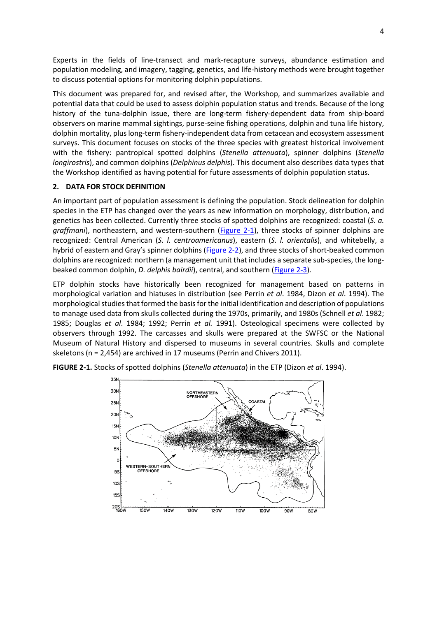Experts in the fields of line-transect and mark-recapture surveys, abundance estimation and population modeling, and imagery, tagging, genetics, and life-history methods were brought together to discuss potential options for monitoring dolphin populations.

This document was prepared for, and revised after, the Workshop, and summarizes available and potential data that could be used to assess dolphin population status and trends. Because of the long history of the tuna-dolphin issue, there are long-term fishery-dependent data from ship-board observers on marine mammal sightings, purse-seine fishing operations, dolphin and tuna life history, dolphin mortality, plus long-term fishery-independent data from cetacean and ecosystem assessment surveys. This document focuses on stocks of the three species with greatest historical involvement with the fishery: pantropical spotted dolphins (*Stenella attenuata*), spinner dolphins (*Stenella longirostris*), and common dolphins (*Delphinus delphis*). This document also describes data types that the Workshop identified as having potential for future assessments of dolphin population status.

## <span id="page-4-0"></span>**2. DATA FOR STOCK DEFINITION**

An important part of population assessment is defining the population. Stock delineation for dolphin species in the ETP has changed over the years as new information on morphology, distribution, and genetics has been collected. Currently three stocks of spotted dolphins are recognized: coastal (*S. a. graffmani*), northeastern, and western-southern (Figure 2-1), three stocks of spinner dolphins are recognized: Central American (*S. l. centroamericanus*), eastern (*S. l. orientalis*), and whitebelly, a hybrid of eastern and Gray's spinner dolphins [\(Figure 2-2\),](#page-5-1) and three stocks of short-beaked common dolphins are recognized: northern (a management unit that includes a separate sub-species, the longbeaked common dolphin, *D. delphis bairdii*), central, and souther[n \(Figure 2-3\).](#page-5-1)

ETP dolphin stocks have historically been recognized for management based on patterns in morphological variation and hiatuses in distribution (see Perrin *et al*. 1984, Dizon *et al*. 1994). The morphological studies that formed the basis for the initial identification and description of populations to manage used data from skulls collected during the 1970s, primarily, and 1980s (Schnell *et al*. 1982; 1985; Douglas *et al*. 1984; 1992; Perrin *et al.* 1991). Osteological specimens were collected by observers through 1992. The carcasses and skulls were prepared at the SWFSC or the National Museum of Natural History and dispersed to museums in several countries. Skulls and complete skeletons (n = 2,454) are archived in 17 museums (Perrin and Chivers 2011).



**FIGURE 2-1.** Stocks of spotted dolphins (*Stenella attenuata*) in the ETP (Dizon *et al*. 1994).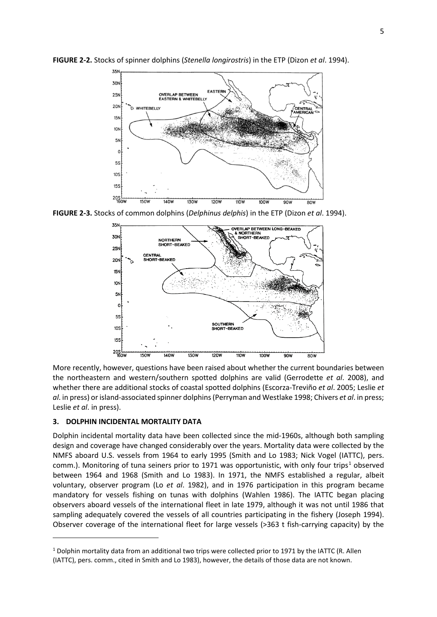

<span id="page-5-1"></span>**FIGURE 2-2.** Stocks of spinner dolphins (*Stenella longirostris*) in the ETP (Dizon *et al*. 1994).

**FIGURE 2-3.** Stocks of common dolphins (*Delphinus delphis*) in the ETP (Dizon *et al*. 1994).



More recently, however, questions have been raised about whether the current boundaries between the northeastern and western/southern spotted dolphins are valid (Gerrodette *et al*. 2008), and whether there are additional stocks of coastal spotted dolphins (Escorza-Treviño *et al*. 2005; Leslie *et al*. in press) or island-associated spinner dolphins (Perryman and Westlake 1998; Chivers *et al*. in press; Leslie *et al*. in press).

#### <span id="page-5-0"></span>**3. DOLPHIN INCIDENTAL MORTALITY DATA**

**.** 

Dolphin incidental mortality data have been collected since the mid-1960s, although both sampling design and coverage have changed considerably over the years. Mortality data were collected by the NMFS aboard U.S. vessels from 1964 to early 1995 (Smith and Lo 1983; Nick Vogel (IATTC), pers. comm.). Monitoring of tuna seiners prior to [1](#page-5-2)971 was opportunistic, with only four trips<sup>1</sup> observed between 1964 and 1968 (Smith and Lo 1983). In 1971, the NMFS established a regular, albeit voluntary, observer program (Lo *et al*. 1982), and in 1976 participation in this program became mandatory for vessels fishing on tunas with dolphins (Wahlen 1986). The IATTC began placing observers aboard vessels of the international fleet in late 1979, although it was not until 1986 that sampling adequately covered the vessels of all countries participating in the fishery (Joseph 1994). Observer coverage of the international fleet for large vessels (>363 t fish-carrying capacity) by the

<span id="page-5-2"></span> $1$  Dolphin mortality data from an additional two trips were collected prior to 1971 by the IATTC (R. Allen (IATTC), pers. comm., cited in Smith and Lo 1983), however, the details of those data are not known.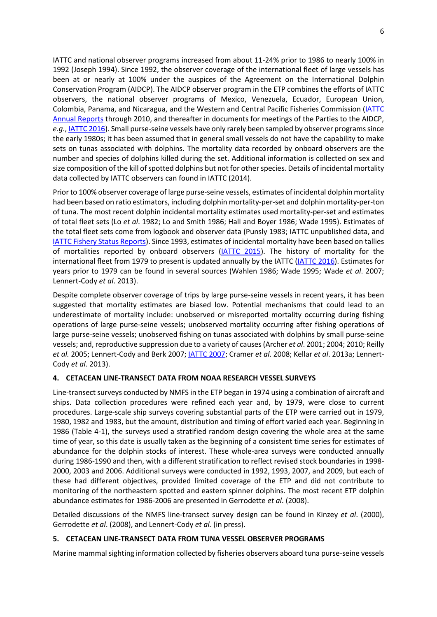IATTC and national observer programs increased from about 11-24% prior to 1986 to nearly 100% in 1992 (Joseph 1994). Since 1992, the observer coverage of the international fleet of large vessels has been at or nearly at 100% under the auspices of the Agreement on the International Dolphin Conservation Program (AIDCP). The AIDCP observer program in the ETP combines the efforts of IATTC observers, the national observer programs of Mexico, Venezuela, Ecuador, European Union, Colombia, Panama, and Nicaragua, and the Western and Central Pacific Fisheries Commission [\(IATTC](http://www.iattc.org/AnnualReportsENG.htm)  [Annual Reports](http://www.iattc.org/AnnualReportsENG.htm) through 2010, and thereafter in documents for meetings of the Parties to the AIDCP, *e.g*.[, IATTC 2016\)](http://www.iattc.org/Meetings/Meetings2016/Oct/Pdfs/MOP-34-05-Report-on-IDCP.pdf). Small purse-seine vessels have only rarely been sampled by observer programs since the early 1980s; it has been assumed that in general small vessels do not have the capability to make sets on tunas associated with dolphins. The mortality data recorded by onboard observers are the number and species of dolphins killed during the set. Additional information is collected on sex and size composition of the kill of spotted dolphins but not for other species. Details of incidental mortality data collected by IATTC observers can found in IATTC (2014).

Prior to 100% observer coverage of large purse-seine vessels, estimates of incidental dolphin mortality had been based on ratio estimators, including dolphin mortality-per-set and dolphin mortality-per-ton of tuna. The most recent dolphin incidental mortality estimates used mortality-per-set and estimates of total fleet sets (Lo *et al*. 1982; Lo and Smith 1986; Hall and Boyer 1986; Wade 1995). Estimates of the total fleet sets come from logbook and observer data (Punsly 1983; IATTC unpublished data, and [IATTC Fishery Status Reports\)](http://www.iattc.org/FisheryStatusReportsENG.htm). Since 1993, estimates of incidental mortality have been based on tallies of mortalities reported by onboard observers [\(IATTC 2015\)](http://www.iattc.org/PDFFiles2/AnnualReports/IATTC-Annual-Report-2010.pdf). The history of mortality for the international fleet from 1979 to present is updated annually by the IATTC [\(IATTC 2016\)](http://www.iattc.org/Meetings/Meetings2016/Oct/Pdfs/MOP-34-05-Report-on-IDCP.pdf). Estimates for years prior to 1979 can be found in several sources (Wahlen 1986; Wade 1995; Wade *et al*. 2007; Lennert-Cody *et al*. 2013).

Despite complete observer coverage of trips by large purse-seine vessels in recent years, it has been suggested that mortality estimates are biased low. Potential mechanisms that could lead to an underestimate of mortality include: unobserved or misreported mortality occurring during fishing operations of large purse-seine vessels; unobserved mortality occurring after fishing operations of large purse-seine vessels; unobserved fishing on tunas associated with dolphins by small purse-seine vessels; and, reproductive suppression due to a variety of causes (Archer *et al*. 2001; 2004; 2010; Reilly *et al.* 2005; Lennert-Cody and Berk 2007[; IATTC 2007;](http://www.iattc.org/PDFFiles2/SAB-05-03a-Estimating-misreported-mortality.pdf) Cramer *et al*. 2008; Kellar *et al*. 2013a; Lennert-Cody *et al*. 2013).

## <span id="page-6-0"></span>**4. CETACEAN LINE-TRANSECT DATA FROM NOAA RESEARCH VESSEL SURVEYS**

Line-transect surveys conducted by NMFS in the ETP began in 1974 using a combination of aircraft and ships. Data collection procedures were refined each year and, by 1979, were close to current procedures. Large-scale ship surveys covering substantial parts of the ETP were carried out in 1979, 1980, 1982 and 1983, but the amount, distribution and timing of effort varied each year. Beginning in 1986 (Table 4-1), the surveys used a stratified random design covering the whole area at the same time of year, so this date is usually taken as the beginning of a consistent time series for estimates of abundance for the dolphin stocks of interest. These whole-area surveys were conducted annually during 1986-1990 and then, with a different stratification to reflect revised stock boundaries in 1998- 2000, 2003 and 2006. Additional surveys were conducted in 1992, 1993, 2007, and 2009, but each of these had different objectives, provided limited coverage of the ETP and did not contribute to monitoring of the northeastern spotted and eastern spinner dolphins. The most recent ETP dolphin abundance estimates for 1986-2006 are presented in Gerrodette *et al*. (2008).

Detailed discussions of the NMFS line-transect survey design can be found in Kinzey *et al*. (2000), Gerrodette *et al*. (2008), and Lennert-Cody *et al.* (in press).

## <span id="page-6-1"></span>**5. CETACEAN LINE-TRANSECT DATA FROM TUNA VESSEL OBSERVER PROGRAMS**

Marine mammal sighting information collected by fisheries observers aboard tuna purse-seine vessels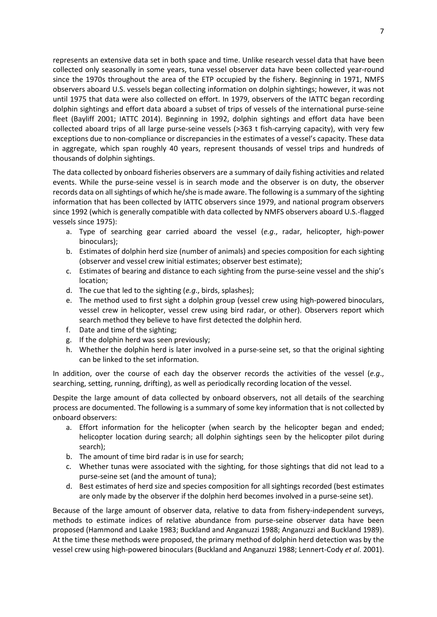represents an extensive data set in both space and time. Unlike research vessel data that have been collected only seasonally in some years, tuna vessel observer data have been collected year-round since the 1970s throughout the area of the ETP occupied by the fishery. Beginning in 1971, NMFS observers aboard U.S. vessels began collecting information on dolphin sightings; however, it was not until 1975 that data were also collected on effort. In 1979, observers of the IATTC began recording dolphin sightings and effort data aboard a subset of trips of vessels of the international purse-seine fleet (Bayliff 2001; IATTC 2014). Beginning in 1992, dolphin sightings and effort data have been collected aboard trips of all large purse-seine vessels (>363 t fish-carrying capacity), with very few exceptions due to non-compliance or discrepancies in the estimates of a vessel's capacity. These data in aggregate, which span roughly 40 years, represent thousands of vessel trips and hundreds of thousands of dolphin sightings.

The data collected by onboard fisheries observers are a summary of daily fishing activities and related events. While the purse-seine vessel is in search mode and the observer is on duty, the observer records data on all sightings of which he/she is made aware. The following is a summary of the sighting information that has been collected by IATTC observers since 1979, and national program observers since 1992 (which is generally compatible with data collected by NMFS observers aboard U.S.-flagged vessels since 1975):

- a. Type of searching gear carried aboard the vessel (*e.g*., radar, helicopter, high-power binoculars);
- b. Estimates of dolphin herd size (number of animals) and species composition for each sighting (observer and vessel crew initial estimates; observer best estimate);
- c. Estimates of bearing and distance to each sighting from the purse-seine vessel and the ship's location;
- d. The cue that led to the sighting (*e.g*., birds, splashes);
- e. The method used to first sight a dolphin group (vessel crew using high-powered binoculars, vessel crew in helicopter, vessel crew using bird radar, or other). Observers report which search method they believe to have first detected the dolphin herd.
- f. Date and time of the sighting;
- g. If the dolphin herd was seen previously;
- h. Whether the dolphin herd is later involved in a purse-seine set, so that the original sighting can be linked to the set information.

In addition, over the course of each day the observer records the activities of the vessel (*e.g*., searching, setting, running, drifting), as well as periodically recording location of the vessel.

Despite the large amount of data collected by onboard observers, not all details of the searching process are documented. The following is a summary of some key information that is not collected by onboard observers:

- a. Effort information for the helicopter (when search by the helicopter began and ended; helicopter location during search; all dolphin sightings seen by the helicopter pilot during search);
- b. The amount of time bird radar is in use for search;
- c. Whether tunas were associated with the sighting, for those sightings that did not lead to a purse-seine set (and the amount of tuna);
- d. Best estimates of herd size and species composition for all sightings recorded (best estimates are only made by the observer if the dolphin herd becomes involved in a purse-seine set).

Because of the large amount of observer data, relative to data from fishery-independent surveys, methods to estimate indices of relative abundance from purse-seine observer data have been proposed (Hammond and Laake 1983; Buckland and Anganuzzi 1988; Anganuzzi and Buckland 1989). At the time these methods were proposed, the primary method of dolphin herd detection was by the vessel crew using high-powered binoculars (Buckland and Anganuzzi 1988; Lennert-Cody *et al*. 2001).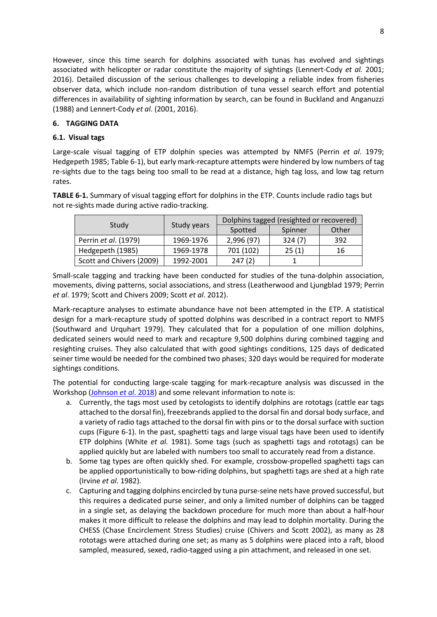However, since this time search for dolphins associated with tunas has evolved and sightings associated with helicopter or radar constitute the majority of sightings (Lennert-Cody *et al.* 2001; 2016). Detailed discussion of the serious challenges to developing a reliable index from fisheries observer data, which include non-random distribution of tuna vessel search effort and potential differences in availability of sighting information by search, can be found in Buckland and Anganuzzi (1988) and Lennert-Cody *et al*. (2001, 2016).

## <span id="page-8-0"></span>**6. TAGGING DATA**

### <span id="page-8-1"></span>**6.1. Visual tags**

Large-scale visual tagging of ETP dolphin species was attempted by NMFS (Perrin *et al*. 1979; Hedgepeth 1985; Table 6-1), but early mark-recapture attempts were hindered by low numbers of tag re-sights due to the tags being too small to be read at a distance, high tag loss, and low tag return rates.

**TABLE 6-1.** Summary of visual tagging effort for dolphins in the ETP. Counts include radio tags but not re-sights made during active radio-tracking.

|                          |             | Dolphins tagged (resighted or recovered) |         |       |  |
|--------------------------|-------------|------------------------------------------|---------|-------|--|
| Study                    | Study years | Spotted                                  | Spinner | Other |  |
| Perrin et al. (1979)     | 1969-1976   | 2,996 (97)                               | 324(7)  | 392   |  |
| Hedgepeth (1985)         | 1969-1978   | 701 (102)                                | 25(1)   | 16    |  |
| Scott and Chivers (2009) | 1992-2001   | 247(2)                                   |         |       |  |

Small-scale tagging and tracking have been conducted for studies of the tuna-dolphin association, movements, diving patterns, social associations, and stress (Leatherwood and Ljungblad 1979; Perrin *et al*. 1979; Scott and Chivers 2009; Scott *et al*. 2012).

Mark-recapture analyses to estimate abundance have not been attempted in the ETP. A statistical design for a mark-recapture study of spotted dolphins was described in a contract report to NMFS (Southward and Urquhart 1979). They calculated that for a population of one million dolphins, dedicated seiners would need to mark and recapture 9,500 dolphins during combined tagging and resighting cruises. They also calculated that with good sightings conditions, 125 days of dedicated seiner time would be needed for the combined two phases; 320 days would be required for moderate sightings conditions.

The potential for conducting large-scale tagging for mark-recapture analysis was discussed in the Workshop [\(Johnson](https://www.iattc.org/PDFFiles/SpecialReports/_English/No.22-2018-JOHNSON%20KELLI%20FAYE,%20Andre%20E.%20Punt%20and%20Cleridy%20E.%20Lennert%20Cody_Report%20of%20the%20workshop%20on%20methods%20for%20monitoring%20the%20status%20of%20ETP%20dolphin%20population) *et al*. 2018) and some relevant information to note is:

- a. Currently, the tags most used by cetologists to identify dolphins are rototags (cattle ear tags attached to the dorsal fin), freezebrands applied to the dorsal fin and dorsal body surface, and a variety of radio tags attached to the dorsal fin with pins or to the dorsal surface with suction cups (Figure 6-1). In the past, spaghetti tags and large visual tags have been used to identify ETP dolphins (White *et al.* 1981). Some tags (such as spaghetti tags and rototags) can be applied quickly but are labeled with numbers too small to accurately read from a distance.
- b. Some tag types are often quickly shed. For example, crossbow-propelled spaghetti tags can be applied opportunistically to bow-riding dolphins, but spaghetti tags are shed at a high rate (Irvine *et al*. 1982).
- c. Capturing and tagging dolphins encircled by tuna purse-seine nets have proved successful, but this requires a dedicated purse seiner, and only a limited number of dolphins can be tagged in a single set, as delaying the backdown procedure for much more than about a half-hour makes it more difficult to release the dolphins and may lead to dolphin mortality. During the CHESS (Chase Encirclement Stress Studies) cruise (Chivers and Scott 2002), as many as 28 rototags were attached during one set; as many as 5 dolphins were placed into a raft, blood sampled, measured, sexed, radio-tagged using a pin attachment, and released in one set.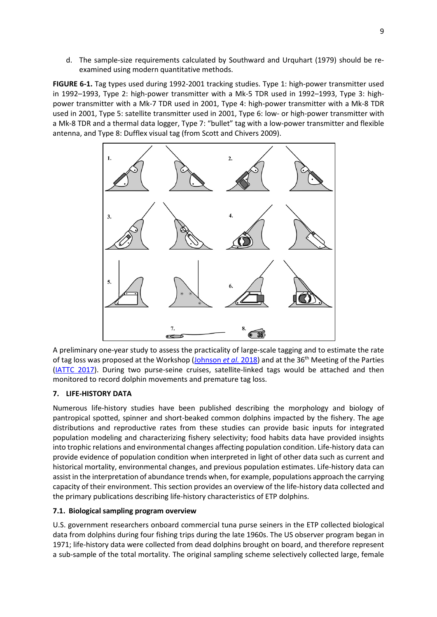d. The sample-size requirements calculated by Southward and Urquhart (1979) should be reexamined using modern quantitative methods.

**FIGURE 6-1.** Tag types used during 1992-2001 tracking studies. Type 1: high-power transmitter used in 1992–1993, Type 2: high-power transmitter with a Mk-5 TDR used in 1992–1993, Type 3: highpower transmitter with a Mk-7 TDR used in 2001, Type 4: high-power transmitter with a Mk-8 TDR used in 2001, Type 5: satellite transmitter used in 2001, Type 6: low- or high-power transmitter with a Mk-8 TDR and a thermal data logger, Type 7: "bullet" tag with a low-power transmitter and flexible antenna, and Type 8: Dufflex visual tag (from Scott and Chivers 2009).



A preliminary one-year study to assess the practicality of large-scale tagging and to estimate the rate of tag loss was proposed at the Workshop [\(Johnson](https://www.iattc.org/PDFFiles/SpecialReports/_English/No.22-2018-JOHNSON%20KELLI%20FAYE,%20Andre%20E.%20Punt%20and%20Cleridy%20E.%20Lennert%20Cody_Report%20of%20the%20workshop%20on%20methods%20for%20monitoring%20the%20status%20of%20ETP%20dolphin%20population) et al. 2018) and at the 36<sup>th</sup> Meeting of the Parties [\(IATTC 2017\)](http://www.iattc.org/Meetings/Meetings2017/AIDCP-36/PDFs/Docs/_English/MOP-36-06_Research-proposals-by-IATTC-staff.pdf). During two purse-seine cruises, satellite-linked tags would be attached and then monitored to record dolphin movements and premature tag loss.

## <span id="page-9-0"></span>**7. LIFE-HISTORY DATA**

Numerous life-history studies have been published describing the morphology and biology of pantropical spotted, spinner and short-beaked common dolphins impacted by the fishery. The age distributions and reproductive rates from these studies can provide basic inputs for integrated population modeling and characterizing fishery selectivity; food habits data have provided insights into trophic relations and environmental changes affecting population condition. Life-history data can provide evidence of population condition when interpreted in light of other data such as current and historical mortality, environmental changes, and previous population estimates. Life-history data can assist in the interpretation of abundance trends when, for example, populations approach the carrying capacity of their environment. This section provides an overview of the life-history data collected and the primary publications describing life-history characteristics of ETP dolphins.

## <span id="page-9-1"></span>**7.1. Biological sampling program overview**

U.S. government researchers onboard commercial tuna purse seiners in the ETP collected biological data from dolphins during four fishing trips during the late 1960s. The US observer program began in 1971; life-history data were collected from dead dolphins brought on board, and therefore represent a sub-sample of the total mortality. The original sampling scheme selectively collected large, female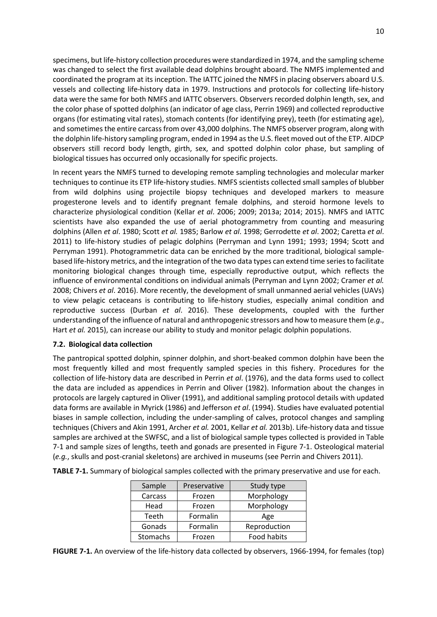specimens, but life-history collection procedures were standardized in 1974, and the sampling scheme was changed to select the first available dead dolphins brought aboard. The NMFS implemented and coordinated the program at its inception. The IATTC joined the NMFS in placing observers aboard U.S. vessels and collecting life-history data in 1979. Instructions and protocols for collecting life-history data were the same for both NMFS and IATTC observers. Observers recorded dolphin length, sex, and the color phase of spotted dolphins (an indicator of age class, Perrin 1969) and collected reproductive organs (for estimating vital rates), stomach contents (for identifying prey), teeth (for estimating age), and sometimes the entire carcass from over 43,000 dolphins. The NMFS observer program, along with the dolphin life-history sampling program, ended in 1994 as the U.S. fleet moved out of the ETP. AIDCP observers still record body length, girth, sex, and spotted dolphin color phase, but sampling of biological tissues has occurred only occasionally for specific projects.

In recent years the NMFS turned to developing remote sampling technologies and molecular marker techniques to continue its ETP life-history studies. NMFS scientists collected small samples of blubber from wild dolphins using projectile biopsy techniques and developed markers to measure progesterone levels and to identify pregnant female dolphins, and steroid hormone levels to characterize physiological condition (Kellar *et al*. 2006; 2009; 2013a; 2014; 2015). NMFS and IATTC scientists have also expanded the use of aerial photogrammetry from counting and measuring dolphins (Allen *et al*. 1980; Scott *et al.* 1985; Barlow *et al*. 1998; Gerrodette *et al*. 2002; Caretta *et al*. 2011) to life-history studies of pelagic dolphins (Perryman and Lynn 1991; 1993; 1994; Scott and Perryman 1991). Photogrammetric data can be enriched by the more traditional, biological samplebased life-history metrics, and the integration of the two data types can extend time series to facilitate monitoring biological changes through time, especially reproductive output, which reflects the influence of environmental conditions on individual animals (Perryman and Lynn 2002; Cramer *et al.* 2008; Chivers *et al*. 2016). More recently, the development of small unmanned aerial vehicles (UAVs) to view pelagic cetaceans is contributing to life-history studies, especially animal condition and reproductive success (Durban *et al*. 2016). These developments, coupled with the further understanding of the influence of natural and anthropogenic stressors and how to measure them (*e.g*., Hart *et al.* 2015), can increase our ability to study and monitor pelagic dolphin populations.

### <span id="page-10-0"></span>**7.2. Biological data collection**

The pantropical spotted dolphin, spinner dolphin, and short-beaked common dolphin have been the most frequently killed and most frequently sampled species in this fishery. Procedures for the collection of life-history data are described in Perrin *et al*. (1976), and the data forms used to collect the data are included as appendices in Perrin and Oliver (1982). Information about the changes in protocols are largely captured in Oliver (1991), and additional sampling protocol details with updated data forms are available in Myrick (1986) and Jefferson *et al*. (1994). Studies have evaluated potential biases in sample collection, including the under-sampling of calves, protocol changes and sampling techniques (Chivers and Akin 1991, Archer *et al.* 2001, Kellar *et al.* 2013b). Life-history data and tissue samples are archived at the SWFSC, and a list of biological sample types collected is provided in Table 7-1 and sample sizes of lengths, teeth and gonads are presented in Figure 7-1. Osteological material (*e.g.*, skulls and post-cranial skeletons) are archived in museums (see Perrin and Chivers 2011).

| Sample            | Preservative | Study type         |
|-------------------|--------------|--------------------|
| Carcass<br>Frozen |              | Morphology         |
| Head              | Frozen       | Morphology         |
| Teeth             | Formalin     | Age                |
| Gonads            | Formalin     | Reproduction       |
| <b>Stomachs</b>   | Frozen       | <b>Food habits</b> |

**TABLE 7-1.** Summary of biological samples collected with the primary preservative and use for each.

**FIGURE 7-1.** An overview of the life-history data collected by observers, 1966-1994, for females (top)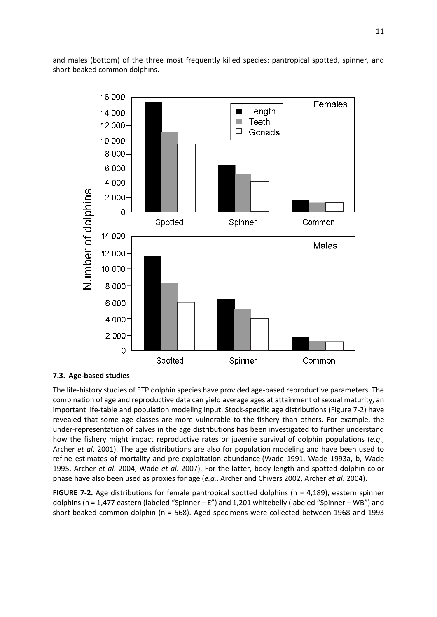and males (bottom) of the three most frequently killed species: pantropical spotted, spinner, and short-beaked common dolphins.



### <span id="page-11-0"></span>**7.3. Age-based studies**

The life-history studies of ETP dolphin species have provided age-based reproductive parameters. The combination of age and reproductive data can yield average ages at attainment of sexual maturity, an important life-table and population modeling input. Stock-specific age distributions (Figure 7-2) have revealed that some age classes are more vulnerable to the fishery than others. For example, the under-representation of calves in the age distributions has been investigated to further understand how the fishery might impact reproductive rates or juvenile survival of dolphin populations (*e.g*., Archer *et al*. 2001). The age distributions are also for population modeling and have been used to refine estimates of mortality and pre-exploitation abundance (Wade 1991, Wade 1993a, b, Wade 1995, Archer *et al*. 2004, Wade *et al*. 2007). For the latter, body length and spotted dolphin color phase have also been used as proxies for age (*e.g.*, Archer and Chivers 2002, Archer *et al*. 2004).

**FIGURE 7-2.** Age distributions for female pantropical spotted dolphins (n = 4,189), eastern spinner dolphins (n = 1,477 eastern (labeled "Spinner – E") and 1,201 whitebelly (labeled "Spinner – WB") and short-beaked common dolphin (n = 568). Aged specimens were collected between 1968 and 1993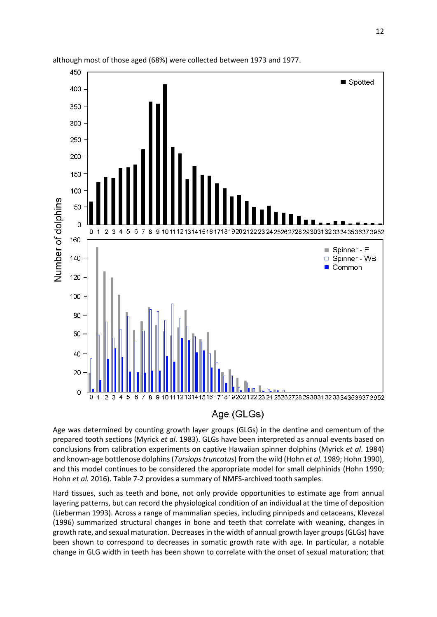

although most of those aged (68%) were collected between 1973 and 1977.

Age was determined by counting growth layer groups (GLGs) in the dentine and cementum of the prepared tooth sections (Myrick *et al*. 1983). GLGs have been interpreted as annual events based on conclusions from calibration experiments on captive Hawaiian spinner dolphins (Myrick *et al*. 1984) and known-age bottlenose dolphins (*Tursiops truncatus*) from the wild (Hohn *et al*. 1989; Hohn 1990), and this model continues to be considered the appropriate model for small delphinids (Hohn 1990; Hohn *et al.* 2016). Table 7-2 provides a summary of NMFS-archived tooth samples.

Hard tissues, such as teeth and bone, not only provide opportunities to estimate age from annual layering patterns, but can record the physiological condition of an individual at the time of deposition (Lieberman 1993). Across a range of mammalian species, including pinnipeds and cetaceans, Klevezal (1996) summarized structural changes in bone and teeth that correlate with weaning, changes in growth rate, and sexual maturation. Decreases in the width of annual growth layer groups (GLGs) have been shown to correspond to decreases in somatic growth rate with age. In particular, a notable change in GLG width in teeth has been shown to correlate with the onset of sexual maturation; that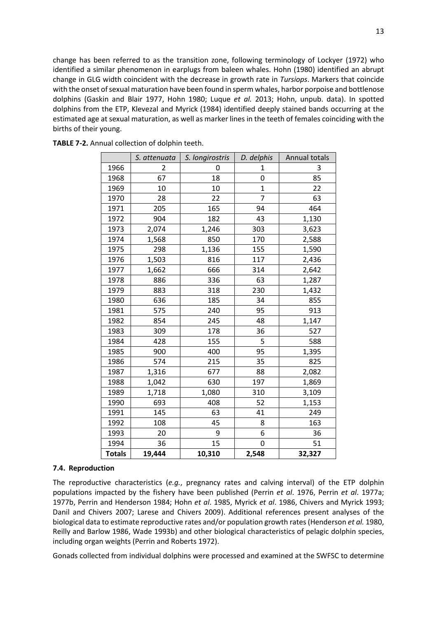change has been referred to as the transition zone, following terminology of Lockyer (1972) who identified a similar phenomenon in earplugs from baleen whales. Hohn (1980) identified an abrupt change in GLG width coincident with the decrease in growth rate in *Tursiops*. Markers that coincide with the onset of sexual maturation have been found in sperm whales, harbor porpoise and bottlenose dolphins (Gaskin and Blair 1977, Hohn 1980; Luque *et al.* 2013; Hohn, unpub. data). In spotted dolphins from the ETP, Klevezal and Myrick (1984) identified deeply stained bands occurring at the estimated age at sexual maturation, as well as marker lines in the teeth of females coinciding with the births of their young.

|               | S. attenuata | S. longirostris | D. delphis     | Annual totals |  |
|---------------|--------------|-----------------|----------------|---------------|--|
| 1966          | 2            | 0               | 1              | 3             |  |
| 1968          | 67           | 18              | 0              | 85            |  |
| 1969          | 10           | 10              | $\mathbf{1}$   | 22            |  |
| 1970          | 28           | 22              | $\overline{7}$ | 63            |  |
| 1971          | 205          | 165             | 94             | 464           |  |
| 1972          | 904          | 182             | 43             | 1,130         |  |
| 1973          | 2,074        | 1,246           | 303            | 3,623         |  |
| 1974          | 1,568        | 850             | 170            | 2,588         |  |
| 1975          | 298          | 1,136           | 155            | 1,590         |  |
| 1976          | 1,503        | 816             | 117            | 2,436         |  |
| 1977          | 1,662        | 666             | 314            | 2,642         |  |
| 1978          | 886          | 336             | 63             | 1,287         |  |
| 1979          | 883          | 318             | 230            | 1,432         |  |
| 1980          | 636          | 185             | 34             | 855           |  |
| 1981          | 575          | 240             | 95             | 913           |  |
| 1982          | 854          | 245             | 48             | 1,147         |  |
| 1983          | 309          | 178             | 36             | 527           |  |
| 1984          | 428          | 155             | 5              | 588           |  |
| 1985          | 900          | 400             | 95             | 1,395         |  |
| 1986          | 574          | 215             | 35             | 825           |  |
| 1987          | 1,316        | 677             | 88             | 2,082         |  |
| 1988          | 1,042        | 630             | 197            | 1,869         |  |
| 1989          | 1,718        | 1,080           | 310            | 3,109         |  |
| 1990          | 693          | 408             | 52             | 1,153         |  |
| 1991          | 145          | 63              | 41             | 249           |  |
| 1992          | 108          | 45              | 8              | 163           |  |
| 1993          | 20           | 9               | 6              | 36            |  |
| 1994          | 36           | 15              | 0              | 51            |  |
| <b>Totals</b> | 19,444       | 10,310          | 2,548          | 32,327        |  |

**TABLE 7-2.** Annual collection of dolphin teeth.

### <span id="page-13-0"></span>**7.4. Reproduction**

The reproductive characteristics (*e.g.*, pregnancy rates and calving interval) of the ETP dolphin populations impacted by the fishery have been published (Perrin *et al*. 1976, Perrin *et al*. 1977a; 1977b, Perrin and Henderson 1984; Hohn *et al*. 1985, Myrick *et al*. 1986, Chivers and Myrick 1993; Danil and Chivers 2007; Larese and Chivers 2009). Additional references present analyses of the biological data to estimate reproductive rates and/or population growth rates (Henderson *et al.* 1980, Reilly and Barlow 1986, Wade 1993b) and other biological characteristics of pelagic dolphin species, including organ weights (Perrin and Roberts 1972).

Gonads collected from individual dolphins were processed and examined at the SWFSC to determine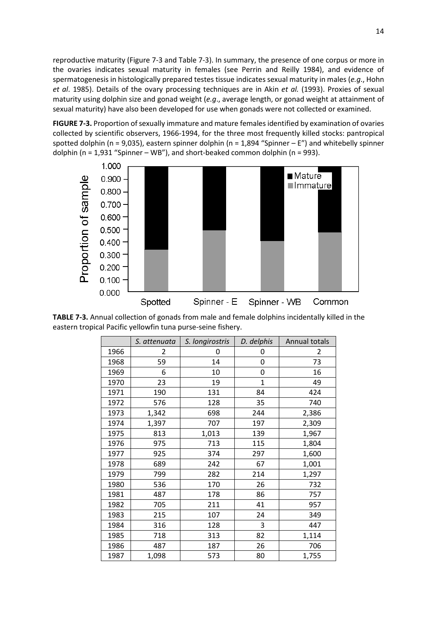reproductive maturity (Figure 7-3 and Table 7-3). In summary, the presence of one corpus or more in the ovaries indicates sexual maturity in females (see Perrin and Reilly 1984), and evidence of spermatogenesis in histologically prepared testes tissue indicates sexual maturity in males (*e.g*., Hohn *et al*. 1985). Details of the ovary processing techniques are in Akin *et al.* (1993). Proxies of sexual maturity using dolphin size and gonad weight (*e.g*., average length, or gonad weight at attainment of sexual maturity) have also been developed for use when gonads were not collected or examined.

**FIGURE 7-3.** Proportion of sexually immature and mature females identified by examination of ovaries collected by scientific observers, 1966-1994, for the three most frequently killed stocks: pantropical spotted dolphin (n = 9,035), eastern spinner dolphin (n = 1,894 "Spinner – E") and whitebelly spinner dolphin (n = 1,931 "Spinner – WB"), and short-beaked common dolphin (n = 993).



**TABLE 7-3.** Annual collection of gonads from male and female dolphins incidentally killed in the eastern tropical Pacific yellowfin tuna purse-seine fishery.

|      | S. attenuata | S. longirostris | D. delphis   | Annual totals |  |
|------|--------------|-----------------|--------------|---------------|--|
| 1966 | 2            | 0               | 0            | 2             |  |
| 1968 | 59           | 14              | 0            | 73            |  |
| 1969 | 6            | 10              | 0            | 16            |  |
| 1970 | 23           | 19              | $\mathbf{1}$ | 49            |  |
| 1971 | 190          | 131             | 84           | 424           |  |
| 1972 | 576          | 128             | 35           | 740           |  |
| 1973 | 1,342        | 698             | 244          | 2,386         |  |
| 1974 | 1,397        | 707             | 197          | 2,309         |  |
| 1975 | 813          | 1,013           | 139          | 1,967         |  |
| 1976 | 975          | 713             | 115          | 1,804         |  |
| 1977 | 925          | 374             | 297          | 1,600         |  |
| 1978 | 689          | 242             | 67           | 1,001         |  |
| 1979 | 799          | 282             | 214          | 1,297         |  |
| 1980 | 536          | 170             | 26           | 732           |  |
| 1981 | 487          | 178             | 86           | 757           |  |
| 1982 | 705          | 211             | 41           | 957           |  |
| 1983 | 215          | 107             | 24           | 349           |  |
| 1984 | 316          | 128             | 3            | 447           |  |
| 1985 | 718          | 313             | 82           | 1,114         |  |
| 1986 | 487          | 187             | 26           | 706           |  |
| 1987 | 1,098        | 573             | 80           | 1,755         |  |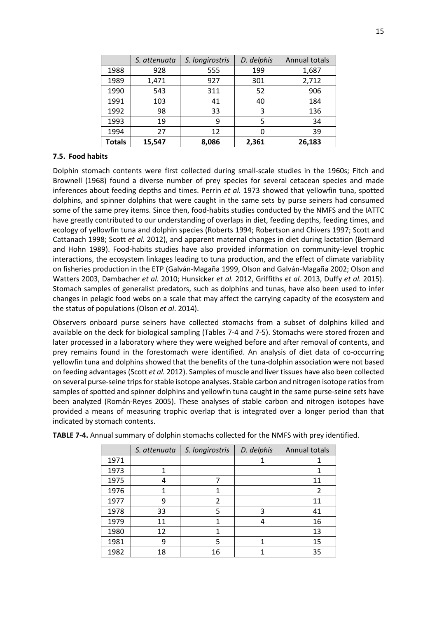|               | S. attenuata | S. longirostris | D. delphis | Annual totals |  |
|---------------|--------------|-----------------|------------|---------------|--|
| 1988          | 928          | 555             | 199        | 1,687         |  |
| 1989          | 1,471        | 927             | 301        | 2,712         |  |
| 1990          | 543          | 311             | 52         | 906           |  |
| 1991          | 103          | 41              | 40         | 184           |  |
| 1992          | 98           | 33              | 3          | 136           |  |
| 1993          | 19           | 9               | 5          | 34            |  |
| 1994          | 27           | 12              |            | 39            |  |
| <b>Totals</b> | 15,547       | 8,086           | 2,361      | 26,183        |  |

### <span id="page-15-0"></span>**7.5. Food habits**

Dolphin stomach contents were first collected during small-scale studies in the 1960s; Fitch and Brownell (1968) found a diverse number of prey species for several cetacean species and made inferences about feeding depths and times. Perrin *et al.* 1973 showed that yellowfin tuna, spotted dolphins, and spinner dolphins that were caught in the same sets by purse seiners had consumed some of the same prey items. Since then, food-habits studies conducted by the NMFS and the IATTC have greatly contributed to our understanding of overlaps in diet, feeding depths, feeding times, and ecology of yellowfin tuna and dolphin species (Roberts 1994; Robertson and Chivers 1997; Scott and Cattanach 1998; Scott *et al.* 2012), and apparent maternal changes in diet during lactation (Bernard and Hohn 1989). Food-habits studies have also provided information on community-level trophic interactions, the ecosystem linkages leading to tuna production, and the effect of climate variability on fisheries production in the ETP (Galván-Magaña 1999, Olson and Galván-Magaña 2002; Olson and Watters 2003, Dambacher *et al.* 2010; Hunsicker *et al.* 2012, Griffiths *et al.* 2013, Duffy *et al.* 2015). Stomach samples of generalist predators, such as dolphins and tunas, have also been used to infer changes in pelagic food webs on a scale that may affect the carrying capacity of the ecosystem and the status of populations (Olson *et al*. 2014).

Observers onboard purse seiners have collected stomachs from a subset of dolphins killed and available on the deck for biological sampling (Tables 7-4 and 7-5). Stomachs were stored frozen and later processed in a laboratory where they were weighed before and after removal of contents, and prey remains found in the forestomach were identified. An analysis of diet data of co-occurring yellowfin tuna and dolphins showed that the benefits of the tuna-dolphin association were not based on feeding advantages (Scott *et al.* 2012). Samples of muscle and liver tissues have also been collected on several purse-seine trips for stable isotope analyses. Stable carbon and nitrogen isotope ratios from samples of spotted and spinner dolphins and yellowfin tuna caught in the same purse-seine sets have been analyzed (Román-Reyes 2005). These analyses of stable carbon and nitrogen isotopes have provided a means of measuring trophic overlap that is integrated over a longer period than that indicated by stomach contents.

|      | S. attenuata | S. longirostris | D. delphis | Annual totals |  |
|------|--------------|-----------------|------------|---------------|--|
| 1971 |              |                 |            |               |  |
| 1973 |              |                 |            |               |  |
| 1975 |              |                 |            | 11            |  |
| 1976 |              |                 |            | 2             |  |
| 1977 | q            | 2               |            | 11            |  |
| 1978 | 33           | 5               | 3          | 41            |  |
| 1979 | 11           |                 | 4          | 16            |  |
| 1980 | 12           |                 |            | 13            |  |
| 1981 | ٩            | 5               | 1          | 15            |  |
| 1982 | 18           | 16              |            | 35            |  |

**TABLE 7-4.** Annual summary of dolphin stomachs collected for the NMFS with prey identified.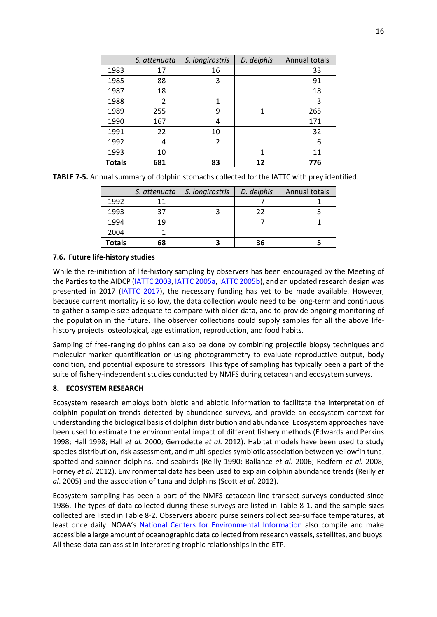|               | S. attenuata   | D. delphis<br>S. longirostris |    | Annual totals |
|---------------|----------------|-------------------------------|----|---------------|
| 1983          | 17             | 16                            |    | 33            |
| 1985          | 88             | 3                             |    | 91            |
| 1987          | 18             |                               |    | 18            |
| 1988          | $\overline{2}$ |                               |    | 3             |
| 1989          | 255            | 9                             | 1  | 265           |
| 1990          | 167            |                               |    | 171           |
| 1991          | 22             | 10                            |    | 32            |
| 1992          | 4              | $\overline{2}$                |    | 6             |
| 1993          | 10             |                               | 1  | 11            |
| <b>Totals</b> | 681            | 83                            | 12 | 776           |

| TABLE 7-5. Annual summary of dolphin stomachs collected for the IATTC with prey identified. |
|---------------------------------------------------------------------------------------------|
|---------------------------------------------------------------------------------------------|

|               | S. attenuata | S. longirostris | D. delphis | Annual totals |
|---------------|--------------|-----------------|------------|---------------|
| 1992          | 11           |                 |            |               |
| 1993          | 37<br>フフ     |                 |            |               |
| 1994          | 19           |                 |            |               |
| 2004          |              |                 |            |               |
| <b>Totals</b> | 68           |                 | 36         |               |

### <span id="page-16-0"></span>**7.6. Future life-history studies**

While the re-initiation of life-history sampling by observers has been encouraged by the Meeting of the Parties to the AIDCP [\(IATTC 2003,](http://www.iattc.org/Meetings/Meetings2003/Jun/_English/IRP-33-11a-SAB-terms-of-reference.pdf) [IATTC 2005a,](http://www.iattc.org/Meetings/Meetings2005/Jun/_English/SAB-02-Jun-2005-Minutes.pdf) [IATTC 2005b\)](http://www.iattc.org/Meetings/Meetings2005/Oct/_English/MOP-14-Minutes-Oct-2005.pdf), and an updated research design was presented in 2017 [\(IATTC](http://www.iattc.org/Meetings/Meetings2017/AIDCP-36/PDFs/Docs/_English/MOP-36-06_Research-proposals-by-IATTC-staff.pdf) 2017), the necessary funding has yet to be made available. However, because current mortality is so low, the data collection would need to be long-term and continuous to gather a sample size adequate to compare with older data, and to provide ongoing monitoring of the population in the future. The observer collections could supply samples for all the above lifehistory projects: osteological, age estimation, reproduction, and food habits.

Sampling of free-ranging dolphins can also be done by combining projectile biopsy techniques and molecular-marker quantification or using photogrammetry to evaluate reproductive output, body condition, and potential exposure to stressors. This type of sampling has typically been a part of the suite of fishery-independent studies conducted by NMFS during cetacean and ecosystem surveys.

### <span id="page-16-1"></span>**8. ECOSYSTEM RESEARCH**

Ecosystem research employs both biotic and abiotic information to facilitate the interpretation of dolphin population trends detected by abundance surveys, and provide an ecosystem context for understanding the biological basis of dolphin distribution and abundance. Ecosystem approaches have been used to estimate the environmental impact of different fishery methods (Edwards and Perkins 1998; Hall 1998; Hall *et al.* 2000; Gerrodette *et al*. 2012). Habitat models have been used to study species distribution, risk assessment, and multi-species symbiotic association between yellowfin tuna, spotted and spinner dolphins, and seabirds (Reilly 1990; Ballance *et al*. 2006; Redfern *et al.* 2008; Forney *et al.* 2012). Environmental data has been used to explain dolphin abundance trends (Reilly *et al*. 2005) and the association of tuna and dolphins (Scott *et al*. 2012).

Ecosystem sampling has been a part of the NMFS cetacean line-transect surveys conducted since 1986. The types of data collected during these surveys are listed in Table 8-1, and the sample sizes collected are listed in Table 8-2. Observers aboard purse seiners collect sea-surface temperatures, at least once daily. NOAA's [National Centers for Environmental Information](https://www.ncei.noaa.gov/) also compile and make accessible a large amount of oceanographic data collected from research vessels, satellites, and buoys. All these data can assist in interpreting trophic relationships in the ETP.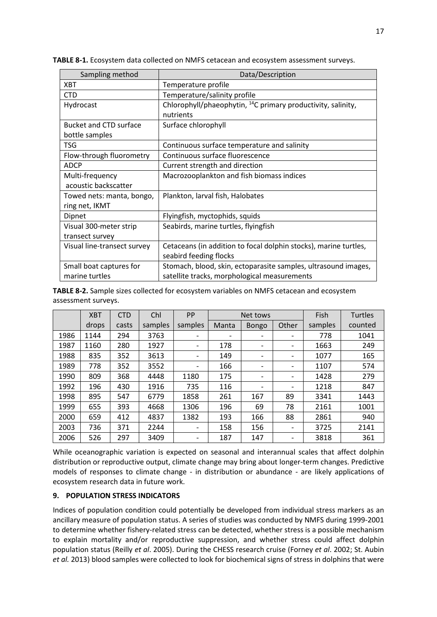| Sampling method               | Data/Description                                                         |
|-------------------------------|--------------------------------------------------------------------------|
| <b>XBT</b>                    | Temperature profile                                                      |
| <b>CTD</b>                    | Temperature/salinity profile                                             |
| Hydrocast                     | Chlorophyll/phaeophytin, <sup>14</sup> C primary productivity, salinity, |
|                               | nutrients                                                                |
| <b>Bucket and CTD surface</b> | Surface chlorophyll                                                      |
| bottle samples                |                                                                          |
| <b>TSG</b>                    | Continuous surface temperature and salinity                              |
| Flow-through fluorometry      | Continuous surface fluorescence                                          |
| <b>ADCP</b>                   | Current strength and direction                                           |
| Multi-frequency               | Macrozooplankton and fish biomass indices                                |
| acoustic backscatter          |                                                                          |
| Towed nets: manta, bongo,     | Plankton, larval fish, Halobates                                         |
| ring net, IKMT                |                                                                          |
| Dipnet                        | Flyingfish, myctophids, squids                                           |
| Visual 300-meter strip        | Seabirds, marine turtles, flyingfish                                     |
| transect survey               |                                                                          |
| Visual line-transect survey   | Cetaceans (in addition to focal dolphin stocks), marine turtles,         |
|                               | seabird feeding flocks                                                   |
| Small boat captures for       | Stomach, blood, skin, ectoparasite samples, ultrasound images,           |
| marine turtles                | satellite tracks, morphological measurements                             |

**TABLE 8-1.** Ecosystem data collected on NMFS cetacean and ecosystem assessment surveys.

**TABLE 8-2.** Sample sizes collected for ecosystem variables on NMFS cetacean and ecosystem assessment surveys.

|      | <b>XBT</b> | <b>CTD</b> | Chl     | PP                       |                              | Net tows                     |                          |         | <b>Turtles</b> |
|------|------------|------------|---------|--------------------------|------------------------------|------------------------------|--------------------------|---------|----------------|
|      | drops      | casts      | samples | samples                  | Manta                        | <b>Bongo</b>                 | Other                    | samples | counted        |
| 1986 | 1144       | 294        | 3763    |                          | $\qquad \qquad \blacksquare$ |                              | $\overline{\phantom{a}}$ | 778     | 1041           |
| 1987 | 1160       | 280        | 1927    | $\overline{\phantom{a}}$ | 178                          | -                            | $\overline{\phantom{a}}$ | 1663    | 249            |
| 1988 | 835        | 352        | 3613    | $\overline{\phantom{a}}$ | 149                          | $\qquad \qquad \blacksquare$ | $\overline{\phantom{a}}$ | 1077    | 165            |
| 1989 | 778        | 352        | 3552    |                          | 166                          | -                            |                          | 1107    | 574            |
| 1990 | 809        | 368        | 4448    | 1180                     | 175                          | -                            | $\overline{\phantom{a}}$ | 1428    | 279            |
| 1992 | 196        | 430        | 1916    | 735                      | 116                          | $\overline{\phantom{0}}$     | $\overline{\phantom{a}}$ | 1218    | 847            |
| 1998 | 895        | 547        | 6779    | 1858                     | 261                          | 167                          | 89                       | 3341    | 1443           |
| 1999 | 655        | 393        | 4668    | 1306                     | 196                          | 69                           | 78                       | 2161    | 1001           |
| 2000 | 659        | 412        | 4837    | 1382                     | 193                          | 166                          | 88                       | 2861    | 940            |
| 2003 | 736        | 371        | 2244    |                          | 158                          | 156                          | $\overline{\phantom{a}}$ | 3725    | 2141           |
| 2006 | 526        | 297        | 3409    |                          | 187                          | 147                          | $\overline{\phantom{a}}$ | 3818    | 361            |

<span id="page-17-0"></span>While oceanographic variation is expected on seasonal and interannual scales that affect dolphin distribution or reproductive output, climate change may bring about longer-term changes. Predictive models of responses to climate change - in distribution or abundance - are likely applications of ecosystem research data in future work.

#### **9. POPULATION STRESS INDICATORS**

Indices of population condition could potentially be developed from individual stress markers as an ancillary measure of population status. A series of studies was conducted by NMFS during 1999-2001 to determine whether fishery-related stress can be detected, whether stress is a possible mechanism to explain mortality and/or reproductive suppression, and whether stress could affect dolphin population status (Reilly *et al*. 2005). During the CHESS research cruise (Forney *et al*. 2002; St. Aubin *et al.* 2013) blood samples were collected to look for biochemical signs of stress in dolphins that were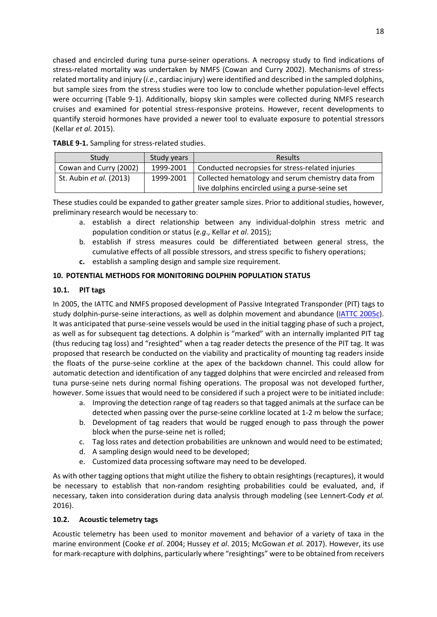chased and encircled during tuna purse-seiner operations. A necropsy study to find indications of stress-related mortality was undertaken by NMFS (Cowan and Curry 2002). Mechanisms of stressrelated mortality and injury (*i.e*., cardiac injury) were identified and described in the sampled dolphins, but sample sizes from the stress studies were too low to conclude whether population-level effects were occurring (Table 9-1). Additionally, biopsy skin samples were collected during NMFS research cruises and examined for potential stress-responsive proteins. However, recent developments to quantify steroid hormones have provided a newer tool to evaluate exposure to potential stressors (Kellar *et al.* 2015).

| Study                   | Study years | <b>Results</b>                                                                                        |  |  |
|-------------------------|-------------|-------------------------------------------------------------------------------------------------------|--|--|
| Cowan and Curry (2002)  | 1999-2001   | Conducted necropsies for stress-related injuries                                                      |  |  |
| St. Aubin et al. (2013) | 1999-2001   | Collected hematology and serum chemistry data from<br>live dolphins encircled using a purse-seine set |  |  |

**TABLE 9-1.** Sampling for stress-related studies.

These studies could be expanded to gather greater sample sizes. Prior to additional studies, however, preliminary research would be necessary to:

- a. establish a direct relationship between any individual-dolphin stress metric and population condition or status (*e.g*., Kellar *et al*. 2015);
- b. establish if stress measures could be differentiated between general stress, the cumulative effects of all possible stressors, and stress specific to fishery operations;
- **c.** establish a sampling design and sample size requirement.

## <span id="page-18-0"></span>**10. POTENTIAL METHODS FOR MONITORING DOLPHIN POPULATION STATUS**

## <span id="page-18-1"></span>**10.1. PIT tags**

In 2005, the IATTC and NMFS proposed development of Passive Integrated Transponder (PIT) tags to study dolphin-purse-seine interactions, as well as dolphin movement and abundance [\(IATTC](http://www.iattc.org/PDFFiles2/SAB-2-08a-Dolphin-tagging.pdf) 2005c). It was anticipated that purse-seine vessels would be used in the initial tagging phase of such a project, as well as for subsequent tag detections. A dolphin is "marked" with an internally implanted PIT tag (thus reducing tag loss) and "resighted" when a tag reader detects the presence of the PIT tag. It was proposed that research be conducted on the viability and practicality of mounting tag readers inside the floats of the purse-seine corkline at the apex of the backdown channel. This could allow for automatic detection and identification of any tagged dolphins that were encircled and released from tuna purse-seine nets during normal fishing operations. The proposal was not developed further, however. Some issues that would need to be considered if such a project were to be initiated include:

- a. Improving the detection range of tag readers so that tagged animals at the surface can be detected when passing over the purse-seine corkline located at 1-2 m below the surface;
- b. Development of tag readers that would be rugged enough to pass through the power block when the purse-seine net is rolled;
- c. Tag loss rates and detection probabilities are unknown and would need to be estimated;
- d. A sampling design would need to be developed;
- e. Customized data processing software may need to be developed.

As with other tagging options that might utilize the fishery to obtain resightings (recaptures), it would be necessary to establish that non-random resighting probabilities could be evaluated, and, if necessary, taken into consideration during data analysis through modeling (see Lennert-Cody *et al.* 2016).

## <span id="page-18-2"></span>**10.2. Acoustic telemetry tags**

Acoustic telemetry has been used to monitor movement and behavior of a variety of taxa in the marine environment (Cooke *et al*. 2004; Hussey *et al*. 2015; McGowan *et al.* 2017). However, its use for mark-recapture with dolphins, particularly where "resightings" were to be obtained from receivers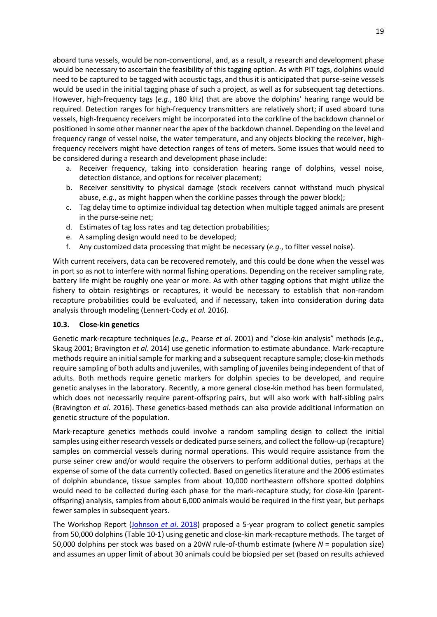aboard tuna vessels, would be non-conventional, and, as a result, a research and development phase would be necessary to ascertain the feasibility of this tagging option. As with PIT tags, dolphins would need to be captured to be tagged with acoustic tags, and thus it is anticipated that purse-seine vessels would be used in the initial tagging phase of such a project, as well as for subsequent tag detections. However, high-frequency tags (*e.g*., 180 kHz) that are above the dolphins' hearing range would be required. Detection ranges for high-frequency transmitters are relatively short; if used aboard tuna vessels, high-frequency receivers might be incorporated into the corkline of the backdown channel or positioned in some other manner near the apex of the backdown channel. Depending on the level and frequency range of vessel noise, the water temperature, and any objects blocking the receiver, highfrequency receivers might have detection ranges of tens of meters. Some issues that would need to be considered during a research and development phase include:

- a. Receiver frequency, taking into consideration hearing range of dolphins, vessel noise, detection distance, and options for receiver placement;
- b. Receiver sensitivity to physical damage (stock receivers cannot withstand much physical abuse, *e.g*., as might happen when the corkline passes through the power block);
- c. Tag delay time to optimize individual tag detection when multiple tagged animals are present in the purse-seine net;
- d. Estimates of tag loss rates and tag detection probabilities;
- e. A sampling design would need to be developed;
- f. Any customized data processing that might be necessary (*e.g*., to filter vessel noise).

With current receivers, data can be recovered remotely, and this could be done when the vessel was in port so as not to interfere with normal fishing operations. Depending on the receiver sampling rate, battery life might be roughly one year or more. As with other tagging options that might utilize the fishery to obtain resightings or recaptures, it would be necessary to establish that non-random recapture probabilities could be evaluated, and if necessary, taken into consideration during data analysis through modeling (Lennert-Cody *et al.* 2016).

### <span id="page-19-0"></span>**10.3. Close-kin genetics**

Genetic mark-recapture techniques (*e.g.,* Pearse *et al*. 2001) and "close-kin analysis" methods (*e.g.,*  Skaug 2001; Bravington *et al*. 2014) use genetic information to estimate abundance. Mark-recapture methods require an initial sample for marking and a subsequent recapture sample; close-kin methods require sampling of both adults and juveniles, with sampling of juveniles being independent of that of adults. Both methods require genetic markers for dolphin species to be developed, and require genetic analyses in the laboratory. Recently, a more general close-kin method has been formulated, which does not necessarily require parent-offspring pairs, but will also work with half-sibling pairs (Bravington *et al*. 2016). These genetics-based methods can also provide additional information on genetic structure of the population.

Mark-recapture genetics methods could involve a random sampling design to collect the initial samples using either research vessels or dedicated purse seiners, and collect the follow-up (recapture) samples on commercial vessels during normal operations. This would require assistance from the purse seiner crew and/or would require the observers to perform additional duties, perhaps at the expense of some of the data currently collected. Based on genetics literature and the 2006 estimates of dolphin abundance, tissue samples from about 10,000 northeastern offshore spotted dolphins would need to be collected during each phase for the mark-recapture study; for close-kin (parentoffspring) analysis, samples from about 6,000 animals would be required in the first year, but perhaps fewer samples in subsequent years.

The Workshop Report [\(Johnson](https://www.iattc.org/PDFFiles/SpecialReports/_English/No.22-2018-JOHNSON%20KELLI%20FAYE,%20Andre%20E.%20Punt%20and%20Cleridy%20E.%20Lennert%20Cody_Report%20of%20the%20workshop%20on%20methods%20for%20monitoring%20the%20status%20of%20ETP%20dolphin%20population) *et al*. 2018) proposed a 5-year program to collect genetic samples from 50,000 dolphins (Table 10-1) using genetic and close-kin mark-recapture methods. The target of 50,000 dolphins per stock was based on a 20√*N* rule-of-thumb estimate (where *N* = population size) and assumes an upper limit of about 30 animals could be biopsied per set (based on results achieved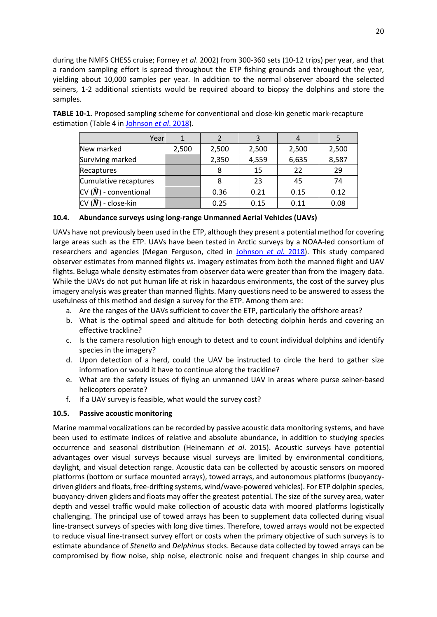during the NMFS CHESS cruise; Forney *et al*. 2002) from 300-360 sets (10-12 trips) per year, and that a random sampling effort is spread throughout the ETP fishing grounds and throughout the year, yielding about 10,000 samples per year. In addition to the normal observer aboard the selected seiners, 1-2 additional scientists would be required aboard to biopsy the dolphins and store the samples.

**TABLE 10-1.** Proposed sampling scheme for conventional and close-kin genetic mark-recapture estimation (Table 4 in [Johnson](https://www.iattc.org/PDFFiles/SpecialReports/_English/No.22-2018-JOHNSON%20KELLI%20FAYE,%20Andre%20E.%20Punt%20and%20Cleridy%20E.%20Lennert%20Cody_Report%20of%20the%20workshop%20on%20methods%20for%20monitoring%20the%20status%20of%20ETP%20dolphin%20population) *et al*. 2018).

| Yearl                           |       |       |       | 4     |       |
|---------------------------------|-------|-------|-------|-------|-------|
| New marked                      | 2,500 | 2,500 | 2,500 | 2,500 | 2,500 |
| Surviving marked                |       | 2,350 | 4,559 | 6,635 | 8,587 |
| Recaptures                      |       | 8     | 15    | 22    | 29    |
| Cumulative recaptures           |       | 8     | 23    | 45    | 74    |
| CV $(\tilde{N})$ - conventional |       | 0.36  | 0.21  | 0.15  | 0.12  |
| - close-kin                     |       | 0.25  | 0.15  | 0.11  | 0.08  |

## <span id="page-20-0"></span>**10.4. Abundance surveys using long-range Unmanned Aerial Vehicles (UAVs)**

UAVs have not previously been used in the ETP, although they present a potential method for covering large areas such as the ETP. UAVs have been tested in Arctic surveys by a NOAA-led consortium of researchers and agencies (Megan Ferguson, cited in [Johnson](https://www.iattc.org/PDFFiles/SpecialReports/_English/No.22-2018-JOHNSON%20KELLI%20FAYE,%20Andre%20E.%20Punt%20and%20Cleridy%20E.%20Lennert%20Cody_Report%20of%20the%20workshop%20on%20methods%20for%20monitoring%20the%20status%20of%20ETP%20dolphin%20population) *et al.* 2018). This study compared observer estimates from manned flights *vs*. imagery estimates from both the manned flight and UAV flights. Beluga whale density estimates from observer data were greater than from the imagery data. While the UAVs do not put human life at risk in hazardous environments, the cost of the survey plus imagery analysis was greater than manned flights. Many questions need to be answered to assess the usefulness of this method and design a survey for the ETP. Among them are:

- a. Are the ranges of the UAVs sufficient to cover the ETP, particularly the offshore areas?
- b. What is the optimal speed and altitude for both detecting dolphin herds and covering an effective trackline?
- c. Is the camera resolution high enough to detect and to count individual dolphins and identify species in the imagery?
- d. Upon detection of a herd, could the UAV be instructed to circle the herd to gather size information or would it have to continue along the trackline?
- e. What are the safety issues of flying an unmanned UAV in areas where purse seiner-based helicopters operate?
- f. If a UAV survey is feasible, what would the survey cost?

### <span id="page-20-1"></span>**10.5. Passive acoustic monitoring**

Marine mammal vocalizations can be recorded by passive acoustic data monitoring systems, and have been used to estimate indices of relative and absolute abundance, in addition to studying species occurrence and seasonal distribution (Heinemann *et al*. 2015). Acoustic surveys have potential advantages over visual surveys because visual surveys are limited by environmental conditions, daylight, and visual detection range. Acoustic data can be collected by acoustic sensors on moored platforms (bottom or surface mounted arrays), towed arrays, and autonomous platforms (buoyancydriven gliders and floats, free-drifting systems, wind/wave-powered vehicles). For ETP dolphin species, buoyancy-driven gliders and floats may offer the greatest potential. The size of the survey area, water depth and vessel traffic would make collection of acoustic data with moored platforms logistically challenging. The principal use of towed arrays has been to supplement data collected during visual line-transect surveys of species with long dive times. Therefore, towed arrays would not be expected to reduce visual line-transect survey effort or costs when the primary objective of such surveys is to estimate abundance of *Stenella* and *Delphinus* stocks. Because data collected by towed arrays can be compromised by flow noise, ship noise, electronic noise and frequent changes in ship course and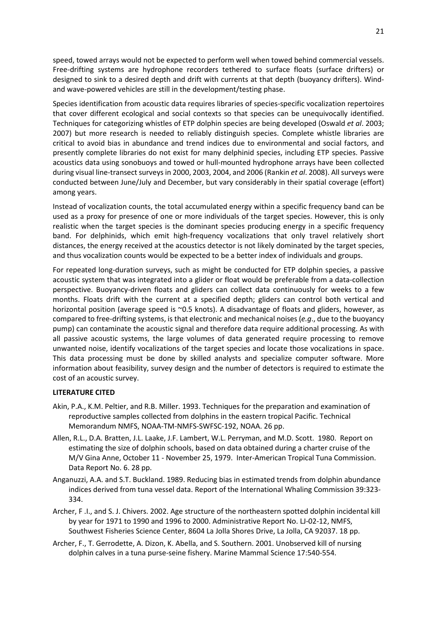speed, towed arrays would not be expected to perform well when towed behind commercial vessels. Free-drifting systems are hydrophone recorders tethered to surface floats (surface drifters) or designed to sink to a desired depth and drift with currents at that depth (buoyancy drifters). Windand wave-powered vehicles are still in the development/testing phase.

Species identification from acoustic data requires libraries of species-specific vocalization repertoires that cover different ecological and social contexts so that species can be unequivocally identified. Techniques for categorizing whistles of ETP dolphin species are being developed (Oswald *et al*. 2003; 2007) but more research is needed to reliably distinguish species. Complete whistle libraries are critical to avoid bias in abundance and trend indices due to environmental and social factors, and presently complete libraries do not exist for many delphinid species, including ETP species. Passive acoustics data using sonobuoys and towed or hull-mounted hydrophone arrays have been collected during visual line-transect surveys in 2000, 2003, 2004, and 2006 (Rankin *et al*. 2008). All surveys were conducted between June/July and December, but vary considerably in their spatial coverage (effort) among years.

Instead of vocalization counts, the total accumulated energy within a specific frequency band can be used as a proxy for presence of one or more individuals of the target species. However, this is only realistic when the target species is the dominant species producing energy in a specific frequency band. For delphinids, which emit high-frequency vocalizations that only travel relatively short distances, the energy received at the acoustics detector is not likely dominated by the target species, and thus vocalization counts would be expected to be a better index of individuals and groups.

For repeated long-duration surveys, such as might be conducted for ETP dolphin species, a passive acoustic system that was integrated into a glider or float would be preferable from a data-collection perspective. Buoyancy-driven floats and gliders can collect data continuously for weeks to a few months. Floats drift with the current at a specified depth; gliders can control both vertical and horizontal position (average speed is ~0.5 knots). A disadvantage of floats and gliders, however, as compared to free-drifting systems, is that electronic and mechanical noises (*e.g*., due to the buoyancy pump) can contaminate the acoustic signal and therefore data require additional processing. As with all passive acoustic systems, the large volumes of data generated require processing to remove unwanted noise, identify vocalizations of the target species and locate those vocalizations in space. This data processing must be done by skilled analysts and specialize computer software. More information about feasibility, survey design and the number of detectors is required to estimate the cost of an acoustic survey.

#### <span id="page-21-0"></span>**LITERATURE CITED**

- Akin, P.A., K.M. Peltier, and R.B. Miller. 1993. Techniques for the preparation and examination of reproductive samples collected from dolphins in the eastern tropical Pacific. Technical Memorandum NMFS, NOAA-TM-NMFS-SWFSC-192, NOAA. 26 pp.
- Allen, R.L., D.A. Bratten, J.L. Laake, J.F. Lambert, W.L. Perryman, and M.D. Scott. 1980. Report on estimating the size of dolphin schools, based on data obtained during a charter cruise of the M/V Gina Anne, October 11 - November 25, 1979. Inter-American Tropical Tuna Commission. Data Report No. 6. 28 pp.
- Anganuzzi, A.A. and S.T. Buckland. 1989. Reducing bias in estimated trends from dolphin abundance indices derived from tuna vessel data. Report of the International Whaling Commission 39:323- 334.
- Archer, F .I., and S. J. Chivers. 2002. Age structure of the northeastern spotted dolphin incidental kill by year for 1971 to 1990 and 1996 to 2000. Administrative Report No. LJ-02-12, NMFS, Southwest Fisheries Science Center, 8604 La Jolla Shores Drive, La Jolla, CA 92037. 18 pp.
- Archer, F., T. Gerrodette, A. Dizon, K. Abella, and S. Southern. 2001. Unobserved kill of nursing dolphin calves in a tuna purse-seine fishery. Marine Mammal Science 17:540-554.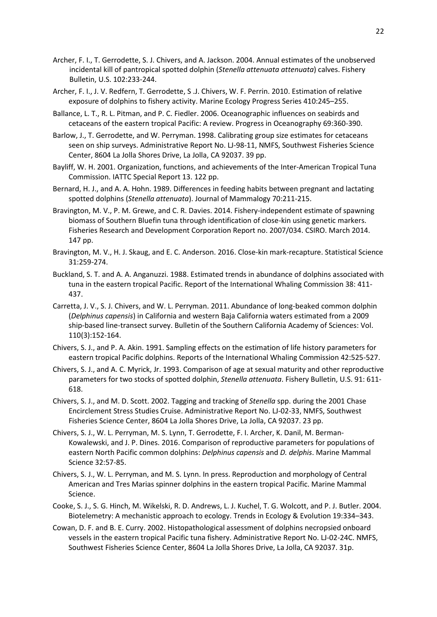- Archer, F. I., T. Gerrodette, S. J. Chivers, and A. Jackson. 2004. Annual estimates of the unobserved incidental kill of pantropical spotted dolphin (*Stenella attenuata attenuata*) calves. Fishery Bulletin, U.S. 102:233-244.
- Archer, F. I., J. V. Redfern, T. Gerrodette, S .J. Chivers, W. F. Perrin. 2010. Estimation of relative exposure of dolphins to fishery activity. Marine Ecology Progress Series 410:245–255.
- Ballance, L. T., R. L. Pitman, and P. C. Fiedler. 2006. Oceanographic influences on seabirds and cetaceans of the eastern tropical Pacific: A review. Progress in Oceanography 69:360-390.
- Barlow, J., T. Gerrodette, and W. Perryman. 1998. Calibrating group size estimates for cetaceans seen on ship surveys. Administrative Report No. LJ-98-11, NMFS, Southwest Fisheries Science Center, 8604 La Jolla Shores Drive, La Jolla, CA 92037. 39 pp.
- Bayliff, W. H. 2001. Organization, functions, and achievements of the Inter-American Tropical Tuna Commission. IATTC Special Report 13. 122 pp.
- Bernard, H. J., and A. A. Hohn. 1989. Differences in feeding habits between pregnant and lactating spotted dolphins (*Stenella attenuata*). Journal of Mammalogy 70:211-215.
- Bravington, M. V., P. M. Grewe, and C. R. Davies. 2014. Fishery-independent estimate of spawning biomass of Southern Bluefin tuna through identification of close-kin using genetic markers. Fisheries Research and Development Corporation Report no. 2007/034. CSIRO. March 2014. 147 pp.
- Bravington, M. V., H. J. Skaug, and E. C. Anderson. 2016. Close-kin mark-recapture. Statistical Science 31:259-274.
- Buckland, S. T. and A. A. Anganuzzi. 1988. Estimated trends in abundance of dolphins associated with tuna in the eastern tropical Pacific. Report of the International Whaling Commission 38: 411- 437.
- Carretta, J. V., S. J. Chivers, and W. L. Perryman. 2011. Abundance of long-beaked common dolphin (*Delphinus capensis*) in California and western Baja California waters estimated from a 2009 ship-based line-transect survey. Bulletin of the Southern California Academy of Sciences: Vol. 110(3):152-164.
- Chivers, S. J., and P. A. Akin. 1991. Sampling effects on the estimation of life history parameters for eastern tropical Pacific dolphins. Reports of the International Whaling Commission 42:525-527.
- Chivers, S. J., and A. C. Myrick, Jr. 1993. Comparison of age at sexual maturity and other reproductive parameters for two stocks of spotted dolphin, *Stenella attenuata*. Fishery Bulletin, U.S. 91: 611- 618.
- Chivers, S. J., and M. D. Scott. 2002. Tagging and tracking of *Stenella* spp. during the 2001 Chase Encirclement Stress Studies Cruise. Administrative Report No. LJ-02-33, NMFS, Southwest Fisheries Science Center, 8604 La Jolla Shores Drive, La Jolla, CA 92037. 23 pp.
- Chivers, S. J., W. L. Perryman, M. S. Lynn, T. Gerrodette, F. I. Archer, K. Danil, M. Berman-Kowalewski, and J. P. Dines. 2016. Comparison of reproductive parameters for populations of eastern North Pacific common dolphins: *Delphinus capensis* and *D. delphis*. Marine Mammal Science 32:57-85.
- Chivers, S. J., W. L. Perryman, and M. S. Lynn. In press. Reproduction and morphology of Central American and Tres Marias spinner dolphins in the eastern tropical Pacific. Marine Mammal Science.
- Cooke, S. J., S. G. Hinch, M. Wikelski, R. D. Andrews, L. J. Kuchel, T. G. Wolcott, and P. J. Butler. 2004. Biotelemetry: A mechanistic approach to ecology. Trends in Ecology & Evolution 19:334–343.
- Cowan, D. F. and B. E. Curry. 2002. Histopathological assessment of dolphins necropsied onboard vessels in the eastern tropical Pacific tuna fishery. Administrative Report No. LJ-02-24C. NMFS, Southwest Fisheries Science Center, 8604 La Jolla Shores Drive, La Jolla, CA 92037. 31p.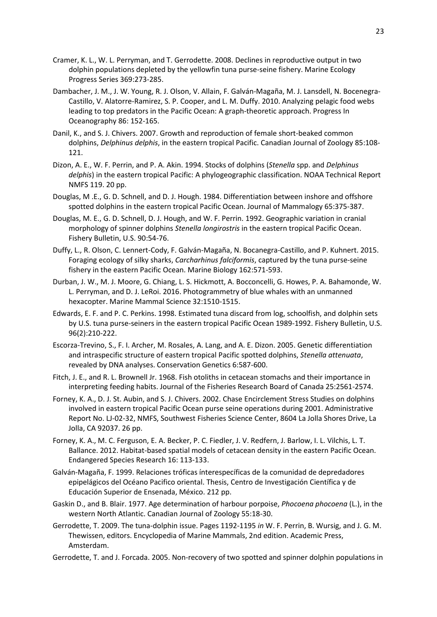- Cramer, K. L., W. L. Perryman, and T. Gerrodette. 2008. Declines in reproductive output in two dolphin populations depleted by the yellowfin tuna purse-seine fishery. Marine Ecology Progress Series 369:273-285.
- Dambacher, J. M., J. W. Young, R. J. Olson, V. Allain, F. Galván-Magaña, M. J. Lansdell, N. Bocenegra-Castillo, V. Alatorre-Ramirez, S. P. Cooper, and L. M. Duffy. 2010. Analyzing pelagic food webs leading to top predators in the Pacific Ocean: A graph-theoretic approach. Progress In Oceanography 86: 152-165.
- Danil, K., and S. J. Chivers. 2007. Growth and reproduction of female short-beaked common dolphins, *Delphinus delphis*, in the eastern tropical Pacific. Canadian Journal of Zoology 85:108- 121.
- Dizon, A. E., W. F. Perrin, and P. A. Akin. 1994. Stocks of dolphins (*Stenella* spp. and *Delphinus delphis*) in the eastern tropical Pacific: A phylogeographic classification. NOAA Technical Report NMFS 119. 20 pp.
- Douglas, M .E., G. D. Schnell, and D. J. Hough. 1984. Differentiation between inshore and offshore spotted dolphins in the eastern tropical Pacific Ocean. Journal of Mammalogy 65:375-387.
- Douglas, M. E., G. D. Schnell, D. J. Hough, and W. F. Perrin. 1992. Geographic variation in cranial morphology of spinner dolphins *Stenella longirostris* in the eastern tropical Pacific Ocean. Fishery Bulletin, U.S. 90:54-76.
- Duffy, L., R. Olson, C. Lennert-Cody, F. Galván-Magaña, N. Bocanegra-Castillo, and P. Kuhnert. 2015. Foraging ecology of silky sharks, *Carcharhinus falciformis*, captured by the tuna purse-seine fishery in the eastern Pacific Ocean. Marine Biology 162:571-593.
- Durban, J. W., M. J. Moore, G. Chiang, L. S. Hickmott, A. Bocconcelli, G. Howes, P. A. Bahamonde, W. L. Perryman, and D. J. LeRoi. 2016. Photogrammetry of blue whales with an unmanned hexacopter. Marine Mammal Science 32:1510-1515.
- Edwards, E. F. and P. C. Perkins. 1998. Estimated tuna discard from log, schoolfish, and dolphin sets by U.S. tuna purse-seiners in the eastern tropical Pacific Ocean 1989-1992. Fishery Bulletin, U.S. 96(2):210-222.
- Escorza-Trevino, S., F. I. Archer, M. Rosales, A. Lang, and A. E. Dizon. 2005. Genetic differentiation and intraspecific structure of eastern tropical Pacific spotted dolphins, *Stenella attenuata*, revealed by DNA analyses. Conservation Genetics 6:587-600.
- Fitch, J. E., and R. L. Brownell Jr. 1968. Fish otoliths in cetacean stomachs and their importance in interpreting feeding habits. Journal of the Fisheries Research Board of Canada 25:2561-2574.
- Forney, K. A., D. J. St. Aubin, and S. J. Chivers. 2002. Chase Encirclement Stress Studies on dolphins involved in eastern tropical Pacific Ocean purse seine operations during 2001. Administrative Report No. LJ-02-32, NMFS, Southwest Fisheries Science Center, 8604 La Jolla Shores Drive, La Jolla, CA 92037. 26 pp.
- Forney, K. A., M. C. Ferguson, E. A. Becker, P. C. Fiedler, J. V. Redfern, J. Barlow, I. L. Vilchis, L. T. Ballance. 2012. Habitat-based spatial models of cetacean density in the eastern Pacific Ocean. Endangered Species Research 16: 113-133.
- Galván-Magaña, F. 1999. Relaciones tróficas ínterespecíficas de la comunidad de depredadores epipelágicos del Océano Pacifico oriental. Thesis, Centro de Investigación Científica y de Educación Superior de Ensenada, México. 212 pp.
- Gaskin D., and B. Blair. 1977. Age determination of harbour porpoise, *Phocoena phocoena* (L.), in the western North Atlantic. Canadian Journal of Zoology 55:18-30.
- Gerrodette, T. 2009. The tuna-dolphin issue. Pages 1192-1195 *in* W. F. Perrin, B. Wursig, and J. G. M. Thewissen, editors. Encyclopedia of Marine Mammals, 2nd edition. Academic Press, Amsterdam.
- Gerrodette, T. and J. Forcada. 2005. Non-recovery of two spotted and spinner dolphin populations in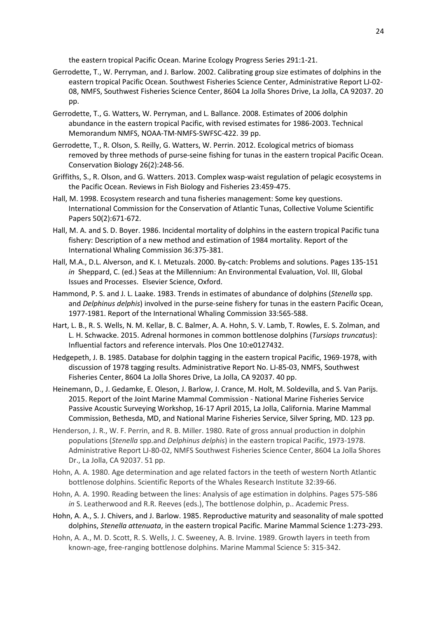the eastern tropical Pacific Ocean. Marine Ecology Progress Series 291:1-21.

- Gerrodette, T., W. Perryman, and J. Barlow. 2002. Calibrating group size estimates of dolphins in the eastern tropical Pacific Ocean. Southwest Fisheries Science Center, Administrative Report LJ-02- 08, NMFS, Southwest Fisheries Science Center, 8604 La Jolla Shores Drive, La Jolla, CA 92037. 20 pp.
- Gerrodette, T., G. Watters, W. Perryman, and L. Ballance. 2008. Estimates of 2006 dolphin abundance in the eastern tropical Pacific, with revised estimates for 1986-2003. Technical Memorandum NMFS, NOAA-TM-NMFS-SWFSC-422. 39 pp.
- Gerrodette, T., R. Olson, S. Reilly, G. Watters, W. Perrin. 2012. Ecological metrics of biomass removed by three methods of purse-seine fishing for tunas in the eastern tropical Pacific Ocean. Conservation Biology 26(2):248-56.
- Griffiths, S., R. Olson, and G. Watters. 2013. Complex wasp-waist regulation of pelagic ecosystems in the Pacific Ocean. Reviews in Fish Biology and Fisheries 23:459-475.
- Hall, M. 1998. Ecosystem research and tuna fisheries management: Some key questions. International Commission for the Conservation of Atlantic Tunas, Collective Volume Scientific Papers 50(2):671-672.
- Hall, M. A. and S. D. Boyer. 1986. Incidental mortality of dolphins in the eastern tropical Pacific tuna fishery: Description of a new method and estimation of 1984 mortality. Report of the International Whaling Commission 36:375-381.
- Hall, M.A., D.L. Alverson, and K. I. Metuzals. 2000. By-catch: Problems and solutions. Pages 135-151 *in* Sheppard, C. (ed.) Seas at the Millennium: An Environmental Evaluation, Vol. III, Global Issues and Processes. Elsevier Science, Oxford.
- Hammond, P. S. and J. L. Laake. 1983. Trends in estimates of abundance of dolphins (*Stenella* spp. and *Delphinus delphis*) involved in the purse-seine fishery for tunas in the eastern Pacific Ocean, 1977-1981. Report of the International Whaling Commission 33:565-588.
- Hart, L. B., R. S. Wells, N. M. Kellar, B. C. Balmer, A. A. Hohn, S. V. Lamb, T. Rowles, E. S. Zolman, and L. H. Schwacke. 2015. Adrenal hormones in common bottlenose dolphins (*Tursiops truncatus*): Influential factors and reference intervals. Plos One 10:e0127432.
- Hedgepeth, J. B. 1985. Database for dolphin tagging in the eastern tropical Pacific, 1969-1978, with discussion of 1978 tagging results. Administrative Report No. LJ-85-03, NMFS, Southwest Fisheries Center, 8604 La Jolla Shores Drive, La Jolla, CA 92037. 40 pp.
- Heinemann, D., J. Gedamke, E. Oleson, J. Barlow, J. Crance, M. Holt, M. Soldevilla, and S. Van Parijs. 2015. Report of the Joint Marine Mammal Commission - National Marine Fisheries Service Passive Acoustic Surveying Workshop, 16-17 April 2015, La Jolla, California. Marine Mammal Commission, Bethesda, MD, and National Marine Fisheries Service, Silver Spring, MD. 123 pp.
- Henderson, J. R., W. F. Perrin, and R. B. Miller. 1980. Rate of gross annual production in dolphin populations (*Stenella* spp.and *Delphinus delphis*) in the eastern tropical Pacific, 1973-1978. Administrative Report LJ-80-02, NMFS Southwest Fisheries Science Center, 8604 La Jolla Shores Dr., La Jolla, CA 92037. 51 pp.
- Hohn, A. A. 1980. Age determination and age related factors in the teeth of western North Atlantic bottlenose dolphins. Scientific Reports of the Whales Research Institute 32:39-66.
- Hohn, A. A. 1990. Reading between the lines: Analysis of age estimation in dolphins. Pages 575-586 *in* S. Leatherwood and R.R. Reeves (eds.), The bottlenose dolphin, p.. Academic Press.
- Hohn, A. A., S. J. Chivers, and J. Barlow. 1985. Reproductive maturity and seasonality of male spotted dolphins, *Stenella attenuata*, in the eastern tropical Pacific. Marine Mammal Science 1:273-293.
- Hohn, A. A., M. D. Scott, R. S. Wells, J. C. Sweeney, A. B. Irvine. 1989. Growth layers in teeth from known-age, free-ranging bottlenose dolphins. Marine Mammal Science 5: 315-342.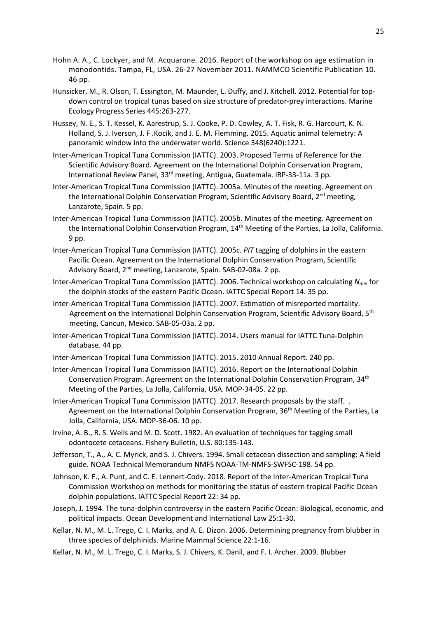- Hohn A. A., C. Lockyer, and M. Acquarone. 2016. Report of the workshop on age estimation in monodontids. Tampa, FL, USA. 26-27 November 2011. NAMMCO Scientific Publication 10. 46 pp.
- Hunsicker, M., R. Olson, T. Essington, M. Maunder, L. Duffy, and J. Kitchell. 2012. Potential for topdown control on tropical tunas based on size structure of predator-prey interactions. Marine Ecology Progress Series 445:263-277.
- Hussey, N. E., S. T. Kessel, K. Aarestrup, S. J. Cooke, P. D. Cowley, A. T. Fisk, R. G. Harcourt, K. N. Holland, S. J. Iverson, J. F .Kocik, and J. E. M. Flemming. 2015. Aquatic animal telemetry: A panoramic window into the underwater world. Science 348(6240):1221.
- Inter-American Tropical Tuna Commission (IATTC). 2003. Proposed Terms of Reference for the Scientific Advisory Board. Agreement on the International Dolphin Conservation Program, International Review Panel, 33rd meeting, Antigua, Guatemala. IRP-33-11a. 3 pp.
- Inter-American Tropical Tuna Commission (IATTC). 2005a. Minutes of the meeting. Agreement on the International Dolphin Conservation Program, Scientific Advisory Board, 2<sup>nd</sup> meeting, Lanzarote, Spain. 5 pp.
- Inter-American Tropical Tuna Commission (IATTC). 2005b. Minutes of the meeting. Agreement on the International Dolphin Conservation Program, 14<sup>th</sup> Meeting of the Parties, La Jolla, California. 9 pp.
- Inter-American Tropical Tuna Commission (IATTC). 2005c. *PIT* tagging of dolphins in the eastern Pacific Ocean. Agreement on the International Dolphin Conservation Program, Scientific Advisory Board, 2nd meeting, Lanzarote, Spain. SAB-02-08a. 2 pp.
- Inter-American Tropical Tuna Commission (IATTC). 2006. Technical workshop on calculating *Nmin* for the dolphin stocks of the eastern Pacific Ocean. IATTC Special Report 14. 35 pp.
- Inter-American Tropical Tuna Commission (IATTC). 2007. Estimation of misreported mortality. Agreement on the International Dolphin Conservation Program, Scientific Advisory Board, 5<sup>th</sup> meeting, Cancun, Mexico. SAB-05-03a. 2 pp.
- Inter-American Tropical Tuna Commission (IATTC). 2014. Users manual for IATTC Tuna-Dolphin database. 44 pp.
- Inter-American Tropical Tuna Commission (IATTC). 2015. 2010 Annual Report. 240 pp.
- Inter-American Tropical Tuna Commission (IATTC). 2016. Report on the International Dolphin Conservation Program. Agreement on the International Dolphin Conservation Program, 34<sup>th</sup> Meeting of the Parties, La Jolla, California, USA. MOP-34-05. 22 pp.

Inter-American Tropical Tuna Commission (IATTC). 2017. Research proposals by the staff. . Agreement on the International Dolphin Conservation Program, 36<sup>th</sup> Meeting of the Parties, La Jolla, California, USA. MOP-36-06. 10 pp.

- Irvine, A. B., R. S. Wells and M. D. Scott. 1982. An evaluation of techniques for tagging small odontocete cetaceans. Fishery Bulletin, U.S. 80:135-143.
- Jefferson, T., A., A. C. Myrick, and S. J. Chivers. 1994. Small cetacean dissection and sampling: A field guide. NOAA Technical Memorandum NMFS NOAA-TM-NMFS-SWFSC-198. 54 pp.
- Johnson, K. F., A. Punt, and C. E. Lennert-Cody. 2018. Report of the Inter-American Tropical Tuna Commission Workshop on methods for monitoring the status of eastern tropical Pacific Ocean dolphin populations. IATTC Special Report 22: 34 pp.
- Joseph, J. 1994. The tuna-dolphin controversy in the eastern Pacific Ocean: Biological, economic, and political impacts. Ocean Development and International Law 25:1-30.
- Kellar, N. M., M. L. Trego, C. I. Marks, and A. E. Dizon. 2006. Determining pregnancy from blubber in three species of delphinids. Marine Mammal Science 22:1-16.
- Kellar, N. M., M. L. Trego, C. I. Marks, S. J. Chivers, K. Danil, and F. I. Archer. 2009. Blubber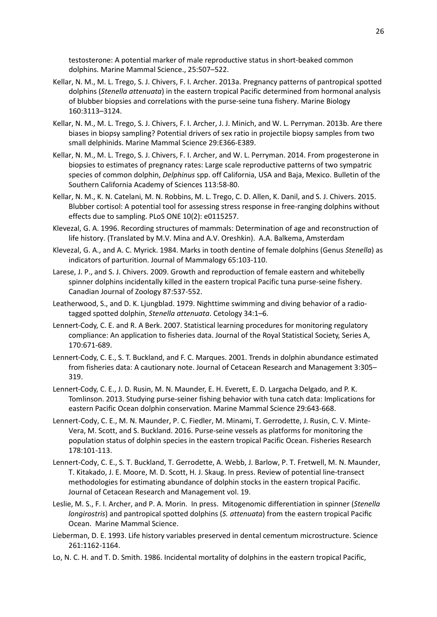testosterone: A potential marker of male reproductive status in short-beaked common dolphins. Marine Mammal Science., 25:507–522.

- Kellar, N. M., M. L. Trego, S. J. Chivers, F. I. Archer. 2013a. Pregnancy patterns of pantropical spotted dolphins (*Stenella attenuata*) in the eastern tropical Pacific determined from hormonal analysis of blubber biopsies and correlations with the purse-seine tuna fishery. Marine Biology 160:3113–3124.
- Kellar, N. M., M. L. Trego, S. J. Chivers, F. I. Archer, J. J. Minich, and W. L. Perryman. 2013b. Are there biases in biopsy sampling? Potential drivers of sex ratio in projectile biopsy samples from two small delphinids. Marine Mammal Science 29:E366-E389.
- Kellar, N. M., M. L. Trego, S. J. Chivers, F. I. Archer, and W. L. Perryman. 2014. From progesterone in biopsies to estimates of pregnancy rates: Large scale reproductive patterns of two sympatric species of common dolphin, *Delphinus* spp. off California, USA and Baja, Mexico. Bulletin of the Southern California Academy of Sciences 113:58-80.
- Kellar, N. M., K. N. Catelani, M. N. Robbins, M. L. Trego, C. D. Allen, K. Danil, and S. J. Chivers. 2015. Blubber cortisol: A potential tool for assessing stress response in free-ranging dolphins without effects due to sampling. PLoS ONE 10(2): e0115257.
- Klevezal, G. A. 1996. Recording structures of mammals: Determination of age and reconstruction of life history. (Translated by M.V. Mina and A.V. Oreshkin). A.A. Balkema, Amsterdam
- Klevezal, G. A., and A. C. Myrick. 1984. Marks in tooth dentine of female dolphins (Genus *Stenella*) as indicators of parturition. Journal of Mammalogy 65:103-110.
- Larese, J. P., and S. J. Chivers. 2009. Growth and reproduction of female eastern and whitebelly spinner dolphins incidentally killed in the eastern tropical Pacific tuna purse-seine fishery. Canadian Journal of Zoology 87:537-552.
- Leatherwood, S., and D. K. Ljungblad. 1979. Nighttime swimming and diving behavior of a radiotagged spotted dolphin, *Stenella attenuata*. Cetology 34:1–6.
- Lennert-Cody, C. E. and R. A Berk. 2007. Statistical learning procedures for monitoring regulatory compliance: An application to fisheries data. Journal of the Royal Statistical Society, Series A, 170:671-689.
- Lennert-Cody, C. E., S. T. Buckland, and F. C. Marques. 2001. Trends in dolphin abundance estimated from fisheries data: A cautionary note. Journal of Cetacean Research and Management 3:305– 319.
- Lennert-Cody, C. E., J. D. Rusin, M. N. Maunder, E. H. Everett, E. D. Largacha Delgado, and P. K. Tomlinson. 2013. Studying purse-seiner fishing behavior with tuna catch data: Implications for eastern Pacific Ocean dolphin conservation. Marine Mammal Science 29:643-668.
- Lennert-Cody, C. E., M. N. Maunder, P. C. Fiedler, M. Minami, T. Gerrodette, J. Rusin, C. V. Minte-Vera, M. Scott, and S. Buckland. 2016. Purse-seine vessels as platforms for monitoring the population status of dolphin species in the eastern tropical Pacific Ocean. Fisheries Research 178:101-113.
- Lennert-Cody, C. E., S. T. Buckland, T. Gerrodette, A. Webb, J. Barlow, P. T. Fretwell, M. N. Maunder, T. Kitakado, J. E. Moore, M. D. Scott, H. J. Skaug. In press. Review of potential line-transect methodologies for estimating abundance of dolphin stocks in the eastern tropical Pacific. Journal of Cetacean Research and Management vol. 19.
- Leslie, M. S., F. I. Archer, and P. A. Morin. In press. Mitogenomic differentiation in spinner (*Stenella longirostris*) and pantropical spotted dolphins (*S. attenuata*) from the eastern tropical Pacific Ocean. Marine Mammal Science.
- Lieberman, D. E. 1993. Life history variables preserved in dental cementum microstructure. Science 261:1162-1164.
- Lo, N. C. H. and T. D. Smith. 1986. Incidental mortality of dolphins in the eastern tropical Pacific,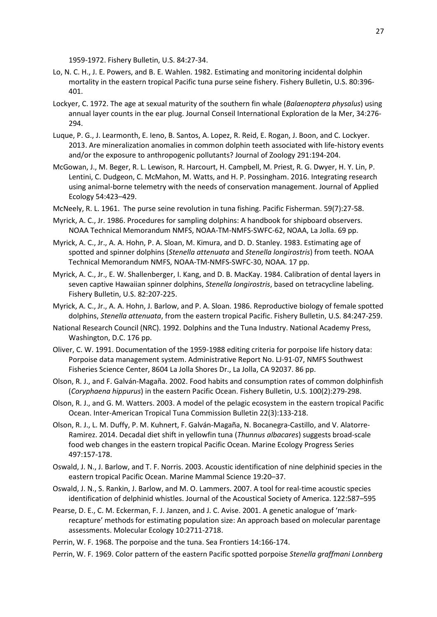1959-1972. Fishery Bulletin, U.S. 84:27-34.

- Lo, N. C. H., J. E. Powers, and B. E. Wahlen. 1982. Estimating and monitoring incidental dolphin mortality in the eastern tropical Pacific tuna purse seine fishery. Fishery Bulletin, U.S. 80:396- 401.
- Lockyer, C. 1972. The age at sexual maturity of the southern fin whale (*Balaenoptera physalus*) using annual layer counts in the ear plug. Journal Conseil International Exploration de la Mer, 34:276- 294.
- Luque, P. G., J. Learmonth, E. Ieno, B. Santos, A. Lopez, R. Reid, E. Rogan, J. Boon, and C. Lockyer. 2013. Are mineralization anomalies in common dolphin teeth associated with life‐history events and/or the exposure to anthropogenic pollutants? Journal of Zoology 291:194-204.
- McGowan, J., M. Beger, R. L. Lewison, R. Harcourt, H. Campbell, M. Priest, R. G. Dwyer, H. Y. Lin, P. Lentini, C. Dudgeon, C. McMahon, M. Watts, and H. P. Possingham. 2016. Integrating research using animal‐borne telemetry with the needs of conservation management. Journal of Applied Ecology 54:423–429.
- McNeely, R. L. 1961. The purse seine revolution in tuna fishing. Pacific Fisherman. 59(7):27-58.
- Myrick, A. C., Jr. 1986. Procedures for sampling dolphins: A handbook for shipboard observers. NOAA Technical Memorandum NMFS, NOAA-TM-NMFS-SWFC-62, NOAA, La Jolla. 69 pp.
- Myrick, A. C., Jr., A. A. Hohn, P. A. Sloan, M. Kimura, and D. D. Stanley. 1983. Estimating age of spotted and spinner dolphins (*Stenella attenuata* and *Stenella longirostris*) from teeth. NOAA Technical Memorandum NMFS, NOAA-TM-NMFS-SWFC-30, NOAA. 17 pp.
- Myrick, A. C., Jr., E. W. Shallenberger, I. Kang, and D. B. MacKay. 1984. Calibration of dental layers in seven captive Hawaiian spinner dolphins, *Stenella longirostris*, based on tetracycline labeling. Fishery Bulletin, U.S. 82:207-225.
- Myrick, A. C., Jr., A. A. Hohn, J. Barlow, and P. A. Sloan. 1986. Reproductive biology of female spotted dolphins, *Stenella attenuata*, from the eastern tropical Pacific. Fishery Bulletin, U.S. 84:247-259.
- National Research Council (NRC). 1992. Dolphins and the Tuna Industry. National Academy Press, Washington, D.C. 176 pp.
- Oliver, C. W. 1991. Documentation of the 1959-1988 editing criteria for porpoise life history data: Porpoise data management system. Administrative Report No. LJ-91-07, NMFS Southwest Fisheries Science Center, 8604 La Jolla Shores Dr., La Jolla, CA 92037. 86 pp.
- Olson, R. J., and F. Galván-Magaña. 2002. Food habits and consumption rates of common dolphinfish (*Coryphaena hippurus*) in the eastern Pacific Ocean. Fishery Bulletin, U.S. 100(2):279-298.
- Olson, R. J., and G. M. Watters. 2003. A model of the pelagic ecosystem in the eastern tropical Pacific Ocean. Inter-American Tropical Tuna Commission Bulletin 22(3):133-218.
- Olson, R. J., L. M. Duffy, P. M. Kuhnert, F. Galván-Magaña, N. Bocanegra-Castillo, and V. Alatorre-Ramirez. 2014. Decadal diet shift in yellowfin tuna (*Thunnus albacares*) suggests broad-scale food web changes in the eastern tropical Pacific Ocean. Marine Ecology Progress Series 497:157-178.
- Oswald, J. N., J. Barlow, and T. F. Norris. 2003. Acoustic identification of nine delphinid species in the eastern tropical Pacific Ocean. Marine Mammal Science 19:20–37.
- Oswald, J. N., S. Rankin, J. Barlow, and M. O. Lammers. 2007. A tool for real-time acoustic species identification of delphinid whistles. Journal of the Acoustical Society of America. 122:587–595
- Pearse, D. E., C. M. Eckerman, F. J. Janzen, and J. C. Avise. 2001. A genetic analogue of 'markrecapture' methods for estimating population size: An approach based on molecular parentage assessments. Molecular Ecology 10:2711-2718.
- Perrin, W. F. 1968. The porpoise and the tuna. Sea Frontiers 14:166-174.
- Perrin, W. F. 1969. Color pattern of the eastern Pacific spotted porpoise *Stenella graffmani Lonnberg*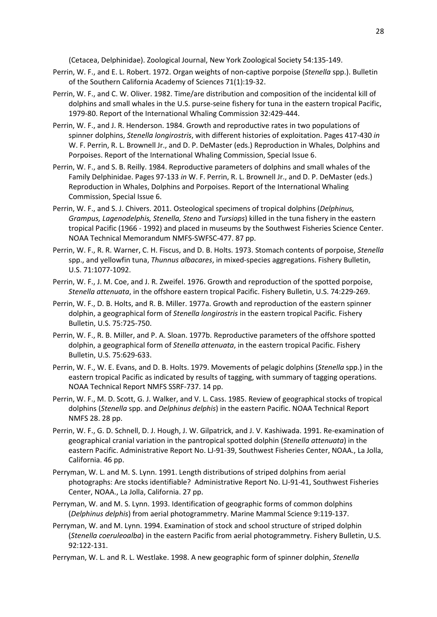(Cetacea, Delphinidae). Zoological Journal, New York Zoological Society 54:135-149.

- Perrin, W. F., and E. L. Robert. 1972. Organ weights of non-captive porpoise (*Stenella* spp.). Bulletin of the Southern California Academy of Sciences 71(1):19-32.
- Perrin, W. F., and C. W. Oliver. 1982. Time/are distribution and composition of the incidental kill of dolphins and small whales in the U.S. purse-seine fishery for tuna in the eastern tropical Pacific, 1979-80. Report of the International Whaling Commission 32:429-444.
- Perrin, W. F., and J. R. Henderson. 1984. Growth and reproductive rates in two populations of spinner dolphins, *Stenella longirostris*, with different histories of exploitation. Pages 417-430 *in* W. F. Perrin, R. L. Brownell Jr., and D. P. DeMaster (eds.) Reproduction in Whales, Dolphins and Porpoises. Report of the International Whaling Commission, Special Issue 6.
- Perrin, W. F., and S. B. Reilly. 1984. Reproductive parameters of dolphins and small whales of the Family Delphinidae. Pages 97-133 *in* W. F. Perrin, R. L. Brownell Jr., and D. P. DeMaster (eds.) Reproduction in Whales, Dolphins and Porpoises. Report of the International Whaling Commission, Special Issue 6.
- Perrin, W. F., and S. J. Chivers. 2011. Osteological specimens of tropical dolphins (*Delphinus, Grampus, Lagenodelphis, Stenella, Steno* and *Tursiops*) killed in the tuna fishery in the eastern tropical Pacific (1966 - 1992) and placed in museums by the Southwest Fisheries Science Center. NOAA Technical Memorandum NMFS-SWFSC-477. 87 pp.
- Perrin, W. F., R. R. Warner, C. H. Fiscus, and D. B. Holts. 1973. Stomach contents of porpoise, *Stenella* spp., and yellowfin tuna, *Thunnus albacares*, in mixed-species aggregations. Fishery Bulletin, U.S. 71:1077-1092.
- Perrin, W. F., J. M. Coe, and J. R. Zweifel. 1976. Growth and reproduction of the spotted porpoise, *Stenella attenuata*, in the offshore eastern tropical Pacific. Fishery Bulletin, U.S. 74:229-269.
- Perrin, W. F., D. B. Holts, and R. B. Miller. 1977a. Growth and reproduction of the eastern spinner dolphin, a geographical form of *Stenella longirostris* in the eastern tropical Pacific. Fishery Bulletin, U.S. 75:725-750.
- Perrin, W. F., R. B. Miller, and P. A. Sloan. 1977b. Reproductive parameters of the offshore spotted dolphin, a geographical form of *Stenella attenuata*, in the eastern tropical Pacific. Fishery Bulletin, U.S. 75:629-633.
- Perrin, W. F., W. E. Evans, and D. B. Holts. 1979. Movements of pelagic dolphins (*Stenella* spp.) in the eastern tropical Pacific as indicated by results of tagging, with summary of tagging operations. NOAA Technical Report NMFS SSRF-737. 14 pp.
- Perrin, W. F., M. D. Scott, G. J. Walker, and V. L. Cass. 1985. Review of geographical stocks of tropical dolphins (*Stenella* spp. and *Delphinus delphis*) in the eastern Pacific. NOAA Technical Report NMFS 28. 28 pp.
- Perrin, W. F., G. D. Schnell, D. J. Hough, J. W. Gilpatrick, and J. V. Kashiwada. 1991. Re-examination of geographical cranial variation in the pantropical spotted dolphin (*Stenella attenuata*) in the eastern Pacific. Administrative Report No. LJ-91-39, Southwest Fisheries Center, NOAA., La Jolla, California. 46 pp.
- Perryman, W. L. and M. S. Lynn. 1991. Length distributions of striped dolphins from aerial photographs: Are stocks identifiable? Administrative Report No. LJ-91-41, Southwest Fisheries Center, NOAA., La Jolla, California. 27 pp.
- Perryman, W. and M. S. Lynn. 1993. Identification of geographic forms of common dolphins (*Delphinus delphis*) from aerial photogrammetry. Marine Mammal Science 9:119-137.
- Perryman, W. and M. Lynn. 1994. Examination of stock and school structure of striped dolphin (*Stenella coeruleoalba*) in the eastern Pacific from aerial photogrammetry. Fishery Bulletin, U.S. 92:122-131.
- Perryman, W. L. and R. L. Westlake. 1998. A new geographic form of spinner dolphin, *Stenella*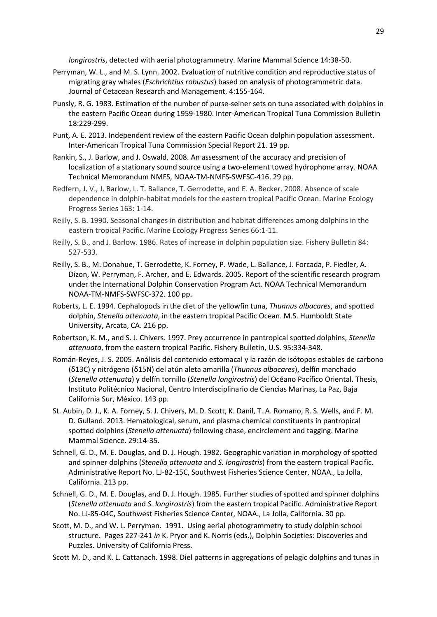*longirostris*, detected with aerial photogrammetry. Marine Mammal Science 14:38-50.

- Perryman, W. L., and M. S. Lynn. 2002. Evaluation of nutritive condition and reproductive status of migrating gray whales (*Eschrichtius robustus*) based on analysis of photogrammetric data. Journal of Cetacean Research and Management. 4:155-164.
- Punsly, R. G. 1983. Estimation of the number of purse-seiner sets on tuna associated with dolphins in the eastern Pacific Ocean during 1959-1980. Inter-American Tropical Tuna Commission Bulletin 18:229-299.
- Punt, A. E. 2013. Independent review of the eastern Pacific Ocean dolphin population assessment. Inter-American Tropical Tuna Commission Special Report 21. 19 pp.
- Rankin, S., J. Barlow, and J. Oswald. 2008. An assessment of the accuracy and precision of localization of a stationary sound source using a two-element towed hydrophone array. NOAA Technical Memorandum NMFS, NOAA-TM-NMFS-SWFSC-416. 29 pp.
- Redfern, J. V., J. Barlow, L. T. Ballance, T. Gerrodette, and E. A. Becker. 2008. Absence of scale dependence in dolphin-habitat models for the eastern tropical Pacific Ocean. Marine Ecology Progress Series 163: 1-14.
- Reilly, S. B. 1990. Seasonal changes in distribution and habitat differences among dolphins in the eastern tropical Pacific. Marine Ecology Progress Series 66:1-11.
- Reilly, S. B., and J. Barlow. 1986. Rates of increase in dolphin population size. Fishery Bulletin 84: 527-533.
- Reilly, S. B., M. Donahue, T. Gerrodette, K. Forney, P. Wade, L. Ballance, J. Forcada, P. Fiedler, A. Dizon, W. Perryman, F. Archer, and E. Edwards. 2005. Report of the scientific research program under the International Dolphin Conservation Program Act. NOAA Technical Memorandum NOAA-TM-NMFS-SWFSC-372. 100 pp.
- Roberts, L. E. 1994. Cephalopods in the diet of the yellowfin tuna, *Thunnus albacares*, and spotted dolphin, *Stenella attenuata*, in the eastern tropical Pacific Ocean. M.S. Humboldt State University, Arcata, CA. 216 pp.
- Robertson, K. M., and S. J. Chivers. 1997. Prey occurrence in pantropical spotted dolphins, *Stenella attenuata*, from the eastern tropical Pacific. Fishery Bulletin, U.S. 95:334-348.
- Román-Reyes, J. S. 2005. Análisis del contenido estomacal y la razón de isótopos estables de carbono (δ13C) y nitrógeno (δ15N) del atún aleta amarilla (*Thunnus albacares*), delfín manchado (*Stenella attenuata*) y delfín tornillo (*Stenella longirostris*) del Océano Pacífico Oriental. Thesis, Instituto Politécnico Nacional, Centro Interdisciplinario de Ciencias Marinas, La Paz, Baja California Sur, México. 143 pp.
- St. Aubin, D. J., K. A. Forney, S. J. Chivers, M. D. Scott, K. Danil, T. A. Romano, R. S. Wells, and F. M. D. Gulland. 2013. Hematological, serum, and plasma chemical constituents in pantropical spotted dolphins (*Stenella attenuata*) following chase, encirclement and tagging. Marine Mammal Science. 29:14-35.
- Schnell, G. D., M. E. Douglas, and D. J. Hough. 1982. Geographic variation in morphology of spotted and spinner dolphins (*Stenella attenuata* and *S. longirostris*) from the eastern tropical Pacific. Administrative Report No. LJ-82-15C, Southwest Fisheries Science Center, NOAA., La Jolla, California. 213 pp.
- Schnell, G. D., M. E. Douglas, and D. J. Hough. 1985. Further studies of spotted and spinner dolphins (*Stenella attenuata* and *S. longirostris*) from the eastern tropical Pacific. Administrative Report No. LJ-85-04C, Southwest Fisheries Science Center, NOAA., La Jolla, California. 30 pp.
- Scott, M. D., and W. L. Perryman. 1991. Using aerial photogrammetry to study dolphin school structure. Pages 227-241 *in* K. Pryor and K. Norris (eds.), Dolphin Societies: Discoveries and Puzzles. University of California Press.
- Scott M. D., and K. L. Cattanach. 1998. Diel patterns in aggregations of pelagic dolphins and tunas in